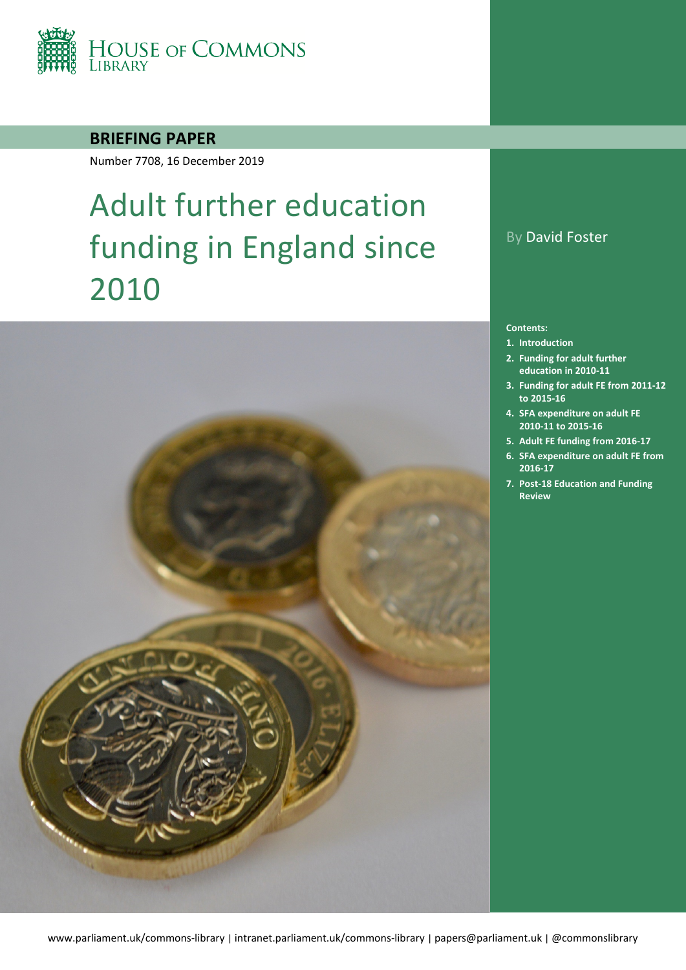

### **BRIEFING PAPER**

Number 7708, 16 December 2019

# Adult further education funding in England since 2010



### By David Foster

#### **Contents:**

- **1. [Introduction](#page-4-0)**
- **2. [Funding for adult further](#page-6-0)  [education in 2010-11](#page-6-0)**
- **3. [Funding for adult FE from 2011-12](#page-7-0)  [to 2015-16](#page-7-0)**
- **4. [SFA expenditure on adult FE](#page-14-0)  [2010-11 to 2015-16](#page-14-0)**
- **5. [Adult FE funding from 2016-17](#page-17-0)**
- **6. [SFA expenditure on adult FE from](#page-21-0)  [2016-17](#page-21-0)**
- **7. [Post-18 Education and Funding](#page-24-0)  [Review](#page-24-0)**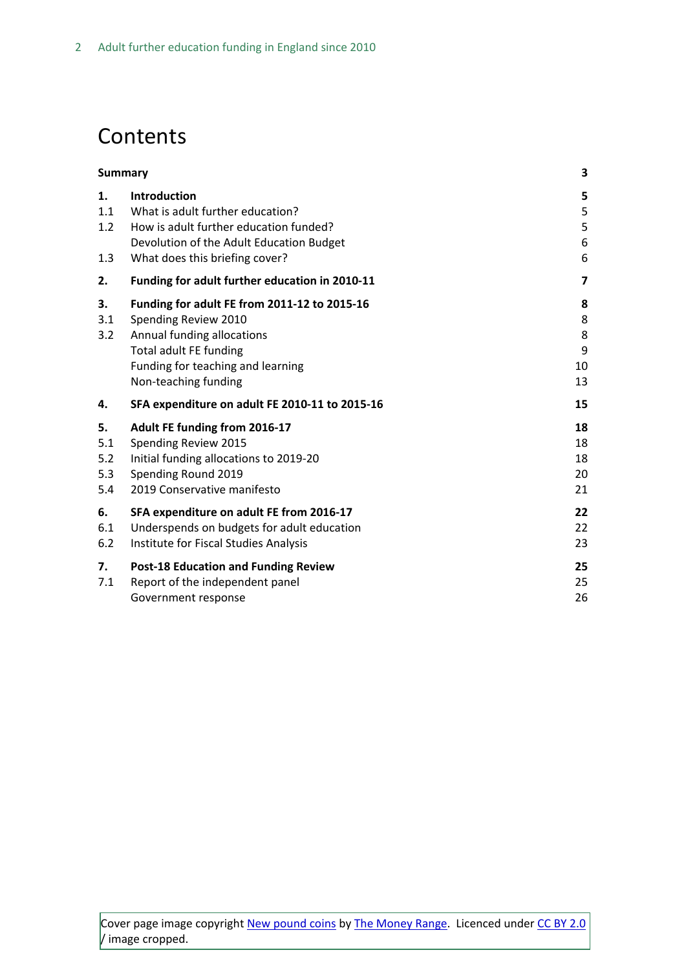## **Contents**

|                                | <b>Summary</b>                                                                                                                                                                                   | 3                            |
|--------------------------------|--------------------------------------------------------------------------------------------------------------------------------------------------------------------------------------------------|------------------------------|
| 1.<br>1.1<br>1.2<br>1.3        | <b>Introduction</b><br>What is adult further education?<br>How is adult further education funded?<br>Devolution of the Adult Education Budget<br>What does this briefing cover?                  | 5<br>5<br>5<br>6<br>6        |
| 2.                             | Funding for adult further education in 2010-11                                                                                                                                                   | 7                            |
| 3.<br>3.1<br>3.2               | Funding for adult FE from 2011-12 to 2015-16<br>Spending Review 2010<br>Annual funding allocations<br><b>Total adult FE funding</b><br>Funding for teaching and learning<br>Non-teaching funding | 8<br>8<br>8<br>9<br>10<br>13 |
| 4.                             | SFA expenditure on adult FE 2010-11 to 2015-16                                                                                                                                                   | 15                           |
| 5.<br>5.1<br>5.2<br>5.3<br>5.4 | Adult FE funding from 2016-17<br>Spending Review 2015<br>Initial funding allocations to 2019-20<br>Spending Round 2019<br>2019 Conservative manifesto                                            | 18<br>18<br>18<br>20<br>21   |
| 6.<br>6.1<br>6.2               | SFA expenditure on adult FE from 2016-17<br>Underspends on budgets for adult education<br>Institute for Fiscal Studies Analysis                                                                  | 22<br>22<br>23               |
| 7.<br>7.1                      | <b>Post-18 Education and Funding Review</b><br>Report of the independent panel<br>Government response                                                                                            | 25<br>25<br>26               |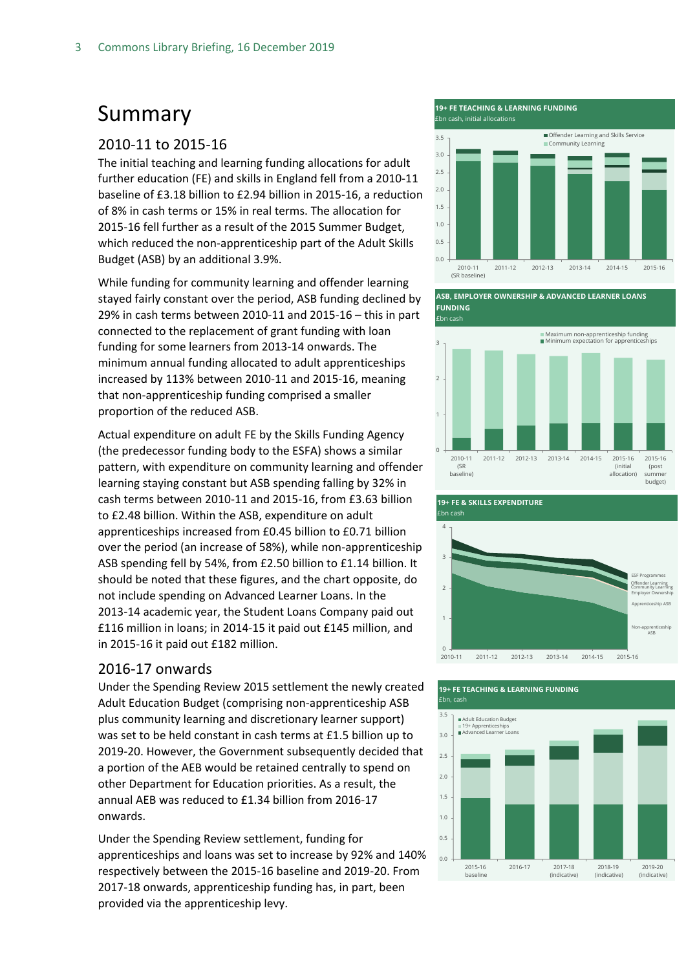## <span id="page-2-0"></span>Summary

#### 2010-11 to 2015-16

The initial teaching and learning funding allocations for adult further education (FE) and skills in England fell from a 2010-11 baseline of £3.18 billion to £2.94 billion in 2015-16, a reduction of 8% in cash terms or 15% in real terms. The allocation for 2015-16 fell further as a result of the 2015 Summer Budget, which reduced the non-apprenticeship part of the Adult Skills Budget (ASB) by an additional 3.9%.

While funding for community learning and offender learning stayed fairly constant over the period, ASB funding declined by 29% in cash terms between 2010-11 and 2015-16 – this in part connected to the replacement of grant funding with loan funding for some learners from 2013-14 onwards. The minimum annual funding allocated to adult apprenticeships increased by 113% between 2010-11 and 2015-16, meaning that non-apprenticeship funding comprised a smaller proportion of the reduced ASB.

Actual expenditure on adult FE by the Skills Funding Agency (the predecessor funding body to the ESFA) shows a similar pattern, with expenditure on community learning and offender learning staying constant but ASB spending falling by 32% in cash terms between 2010-11 and 2015-16, from £3.63 billion to £2.48 billion. Within the ASB, expenditure on adult apprenticeships increased from £0.45 billion to £0.71 billion over the period (an increase of 58%), while non-apprenticeship ASB spending fell by 54%, from £2.50 billion to £1.14 billion. It should be noted that these figures, and the chart opposite, do not include spending on Advanced Learner Loans. In the 2013-14 academic year, the Student Loans Company paid out £116 million in loans; in 2014-15 it paid out £145 million, and in 2015-16 it paid out £182 million.

#### 2016-17 onwards

Under the Spending Review 2015 settlement the newly created Adult Education Budget (comprising non-apprenticeship ASB plus community learning and discretionary learner support) was set to be held constant in cash terms at £1.5 billion up to 2019-20. However, the Government subsequently decided that a portion of the AEB would be retained centrally to spend on other Department for Education priorities. As a result, the annual AEB was reduced to £1.34 billion from 2016-17 onwards.

Under the Spending Review settlement, funding for apprenticeships and loans was set to increase by 92% and 140% respectively between the 2015-16 baseline and 2019-20. From 2017-18 onwards, apprenticeship funding has, in part, been provided via the apprenticeship levy.

**19+ FE TEACHING & LEARNING FUNDING** 



**ASB, EMPLOYER OWNERSHIP & ADVANCED LEARNER LOANS FUNDING**





#### **19+ FE TEACHING & LEARNING FUNDING** £bn, cash

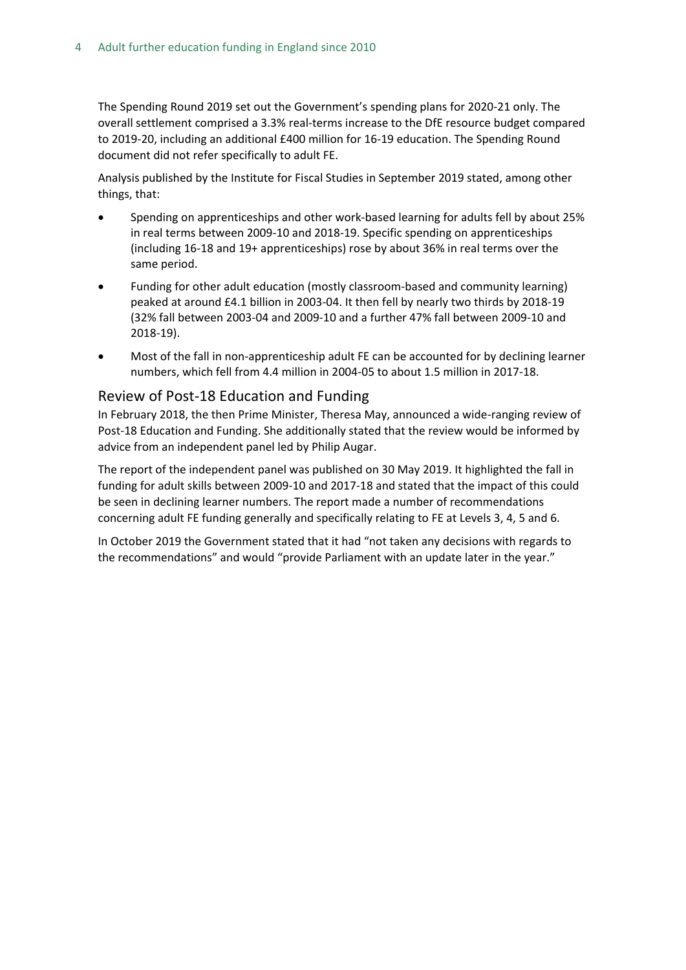The Spending Round 2019 set out the Government's spending plans for 2020-21 only. The overall settlement comprised a 3.3% real-terms increase to the DfE resource budget compared to 2019-20, including an additional £400 million for 16-19 education. The Spending Round document did not refer specifically to adult FE.

Analysis published by the Institute for Fiscal Studies in September 2019 stated, among other things, that:

- Spending on apprenticeships and other work-based learning for adults fell by about 25% in real terms between 2009-10 and 2018-19. Specific spending on apprenticeships (including 16-18 and 19+ apprenticeships) rose by about 36% in real terms over the same period.
- Funding for other adult education (mostly classroom-based and community learning) peaked at around £4.1 billion in 2003-04. It then fell by nearly two thirds by 2018-19 (32% fall between 2003-04 and 2009-10 and a further 47% fall between 2009-10 and 2018-19).
- Most of the fall in non-apprenticeship adult FE can be accounted for by declining learner numbers, which fell from 4.4 million in 2004-05 to about 1.5 million in 2017-18.

#### Review of Post-18 Education and Funding

In February 2018, the then Prime Minister, Theresa May, announced a wide-ranging review of Post-18 Education and Funding. She additionally stated that the review would be informed by advice from an independent panel led by Philip Augar.

The report of the independent panel was published on 30 May 2019. It highlighted the fall in funding for adult skills between 2009-10 and 2017-18 and stated that the impact of this could be seen in declining learner numbers. The report made a number of recommendations concerning adult FE funding generally and specifically relating to FE at Levels 3, 4, 5 and 6.

In October 2019 the Government stated that it had "not taken any decisions with regards to the recommendations" and would "provide Parliament with an update later in the year."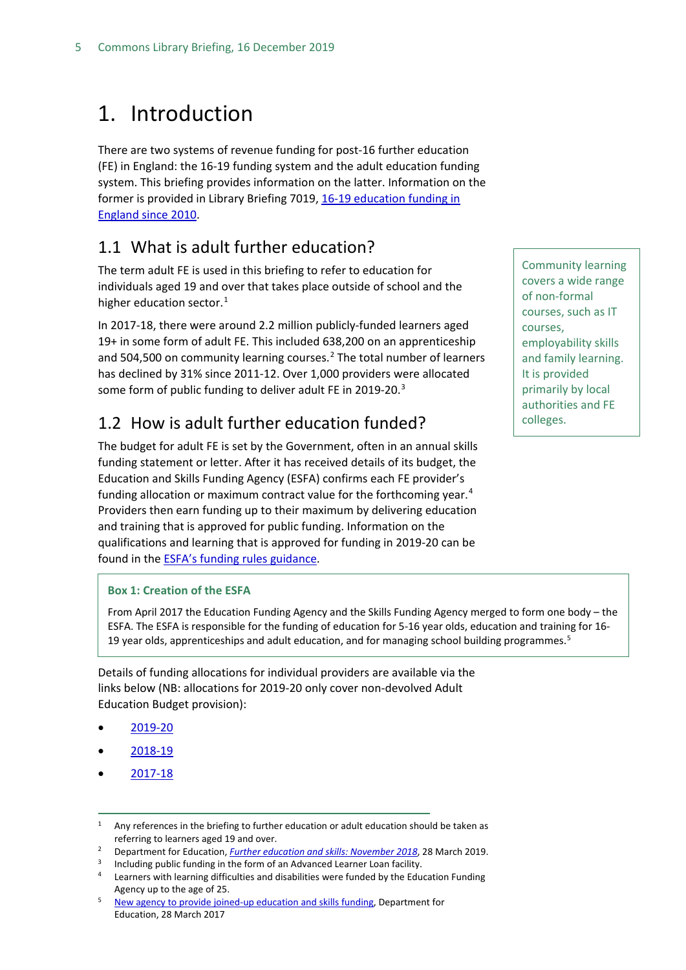## <span id="page-4-0"></span>1. Introduction

There are two systems of revenue funding for post-16 further education (FE) in England: the 16-19 funding system and the adult education funding system. This briefing provides information on the latter. Information on the former is provided in Library Briefing 7019, [16-19 education funding in](https://researchbriefings.parliament.uk/ResearchBriefing/Summary/SN07019)  [England since 2010.](https://researchbriefings.parliament.uk/ResearchBriefing/Summary/SN07019)

### <span id="page-4-1"></span>1.1 What is adult further education?

The term adult FE is used in this briefing to refer to education for individuals aged 19 and over that takes place outside of school and the higher education sector. [1](#page-4-3)

In 2017-18, there were around 2.2 million publicly-funded learners aged 19+ in some form of adult FE. This included 638,200 on an apprenticeship and 504,500 on community learning courses. $<sup>2</sup>$  $<sup>2</sup>$  $<sup>2</sup>$  The total number of learners</sup> has declined by 31% since 2011-12. Over 1,000 providers were allocated some form of public funding to deliver adult FE in 2019-20.<sup>[3](#page-4-5)</sup>

### <span id="page-4-2"></span>1.2 How is adult further education funded?

The budget for adult FE is set by the Government, often in an annual skills funding statement or letter. After it has received details of its budget, the Education and Skills Funding Agency (ESFA) confirms each FE provider's funding allocation or maximum contract value for the forthcoming year.<sup>[4](#page-4-6)</sup> Providers then earn funding up to their maximum by delivering education and training that is approved for public funding. Information on the qualifications and learning that is approved for funding in 2019-20 can be found in the [ESFA's funding rules guidance.](https://www.gov.uk/government/publications/adult-education-budget-aeb-funding-rules-2019-to-2020)

#### **Box 1: Creation of the ESFA**

From April 2017 the Education Funding Agency and the Skills Funding Agency merged to form one body – the ESFA. The ESFA is responsible for the funding of education for 5-16 year olds, education and training for 16- 19 year olds, apprenticeships and adult education, and for managing school building programmes.<sup>[5](#page-4-7)</sup>

Details of funding allocations for individual providers are available via the links below (NB: allocations for 2019-20 only cover non-devolved Adult Education Budget provision):

- [2019-20](https://www.gov.uk/government/publications/funding-allocations-to-training-providers-2018-to-2019)
- [2018-19](https://www.gov.uk/government/publications/funding-allocations-to-training-providers-2018-to-2019)
- [2017-18](https://www.gov.uk/government/publications/funding-allocations-to-training-providers-2017-to-2018)

Community learning covers a wide range of non-formal courses, such as IT courses, employability skills and family learning. It is provided primarily by local authorities and FE colleges.

<span id="page-4-3"></span><sup>&</sup>lt;sup>1</sup> Any references in the briefing to further education or adult education should be taken as referring to learners aged 19 and over. 2 Department for Education, *[Further education and skills: November 201](https://www.gov.uk/government/statistics/further-education-and-skills-november-2018)8*, 28 March 2019.

<span id="page-4-6"></span><span id="page-4-5"></span><span id="page-4-4"></span><sup>&</sup>lt;sup>3</sup> Including public funding in the form of an Advanced Learner Loan facility.<br><sup>4</sup> Learners with learning difficulties and disabilities were funded by the Education Funding Agency up to the age of 25.<br><sup>5</sup> [New agency to provide joined-up education and skills funding,](https://www.gov.uk/government/news/new-agency-to-provide-joined-up-education-and-skills-funding) Department for

<span id="page-4-7"></span>Education, 28 March 2017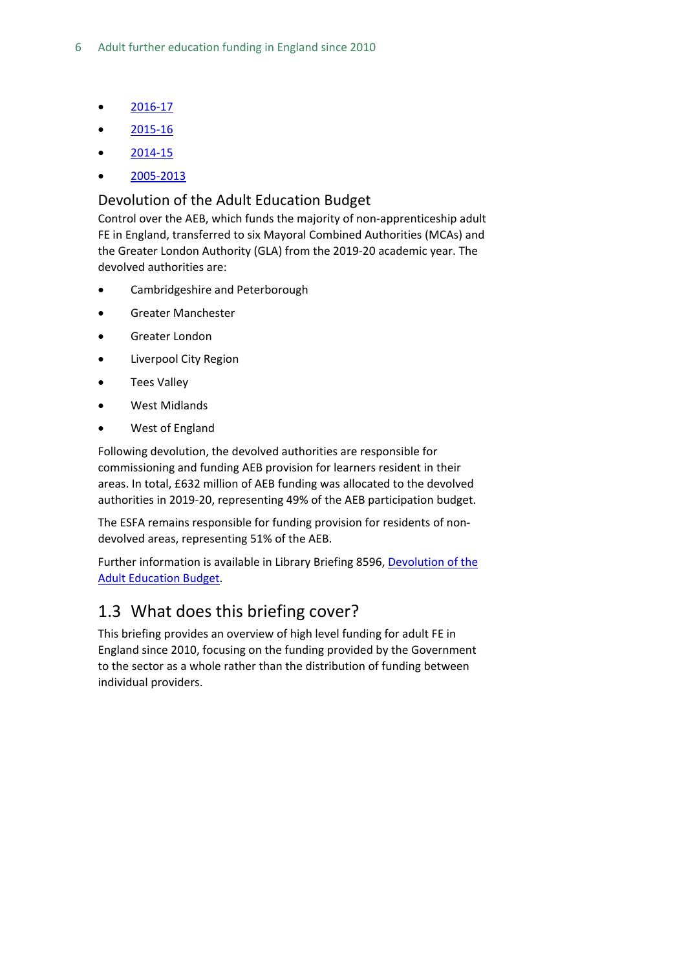- [2016-17](https://www.gov.uk/government/publications/sfa-funding-allocations-to-training-providers-2016-to-2017)
- $2015 16$
- [2014-15](https://www.gov.uk/government/uploads/system/uploads/attachment_data/file/339499/201415_Funding_Year_Values.csv/preview)
- [2005-2013](https://www.gov.uk/government/publications/sfa-funding-allocations-to-training-providers-2005-to-2013)

#### <span id="page-5-0"></span>Devolution of the Adult Education Budget

Control over the AEB, which funds the majority of non-apprenticeship adult FE in England, transferred to six Mayoral Combined Authorities (MCAs) and the Greater London Authority (GLA) from the 2019-20 academic year. The devolved authorities are:

- Cambridgeshire and Peterborough
- Greater Manchester
- Greater London
- Liverpool City Region
- Tees Valley
- West Midlands
- West of England

Following devolution, the devolved authorities are responsible for commissioning and funding AEB provision for learners resident in their areas. In total, £632 million of AEB funding was allocated to the devolved authorities in 2019-20, representing 49% of the AEB participation budget.

The ESFA remains responsible for funding provision for residents of nondevolved areas, representing 51% of the AEB.

Further information is available in Library Briefing 8596, [Devolution of the](https://researchbriefings.parliament.uk/ResearchBriefing/Summary/CBP-8596#fullreport)  [Adult Education Budget.](https://researchbriefings.parliament.uk/ResearchBriefing/Summary/CBP-8596#fullreport)

### <span id="page-5-1"></span>1.3 What does this briefing cover?

This briefing provides an overview of high level funding for adult FE in England since 2010, focusing on the funding provided by the Government to the sector as a whole rather than the distribution of funding between individual providers.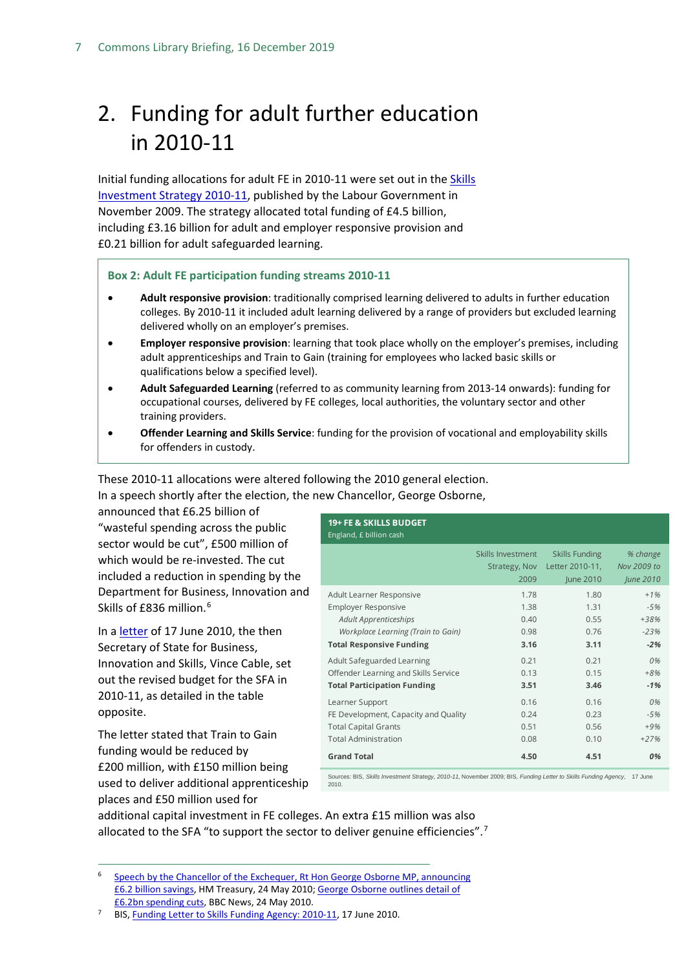## <span id="page-6-0"></span>2. Funding for adult further education in 2010-11

Initial funding allocations for adult FE in 2010-11 were set out in the Skills [Investment Strategy 2010-11,](http://dera.ioe.ac.uk/10482/1/Skills-Investment-Strategy.pdf) published by the Labour Government in November 2009. The strategy allocated total funding of £4.5 billion, including £3.16 billion for adult and employer responsive provision and £0.21 billion for adult safeguarded learning.

#### **Box 2: Adult FE participation funding streams 2010-11**

- **Adult responsive provision**: traditionally comprised learning delivered to adults in further education colleges. By 2010-11 it included adult learning delivered by a range of providers but excluded learning delivered wholly on an employer's premises.
- **Employer responsive provision**: learning that took place wholly on the employer's premises, including adult apprenticeships and Train to Gain (training for employees who lacked basic skills or qualifications below a specified level).
- **Adult Safeguarded Learning** (referred to as community learning from 2013-14 onwards): funding for occupational courses, delivered by FE colleges, local authorities, the voluntary sector and other training providers.
- **Offender Learning and Skills Service**: funding for the provision of vocational and employability skills for offenders in custody.

These 2010-11 allocations were altered following the 2010 general election. In a speech shortly after the election, the new Chancellor, George Osborne,

announced that £6.25 billion of "wasteful spending across the public sector would be cut", £500 million of which would be re-invested. The cut included a reduction in spending by the Department for Business, Innovation and Skills of £83[6](#page-6-1) million.<sup>6</sup>

In a [letter](https://www.gov.uk/government/uploads/system/uploads/attachment_data/file/31996/10-1013-sfa-funding-letter-2010-11.pdf) of 17 June 2010, the then Secretary of State for Business, Innovation and Skills, Vince Cable, set out the revised budget for the SFA in 2010-11, as detailed in the table opposite.

The letter stated that Train to Gain funding would be reduced by £200 million, with £150 million being used to deliver additional apprenticeship places and £50 million used for

| Skills Investment<br><b>Skills Funding</b><br>% change<br>Letter 2010-11,<br>Nov 2009 to<br>Strategy, Nov<br>2009<br>June 2010<br>June 2010<br>$+1%$<br>1.78<br>1.80<br>Adult Learner Responsive<br><b>Employer Responsive</b><br>1.38<br>1.31<br>$-5%$<br><b>Adult Apprenticeships</b><br>0.40<br>0.55<br>+38%<br>Workplace Learning (Train to Gain)<br>$-23%$<br>0.98<br>0.76<br><b>Total Responsive Funding</b><br>$-2%$<br>3.16<br>3.11<br>Adult Safeguarded Learning<br>0.21<br>0.21<br>0%<br>Offender Learning and Skills Service<br>0.13<br>0.15<br>$+8%$<br><b>Total Participation Funding</b><br>3.51<br>3.46<br>$-1%$<br>0.16<br>0.16<br>Learner Support<br>0%<br>FE Development, Capacity and Quality<br>0.24<br>0.23<br>$-5%$<br><b>Total Capital Grants</b><br>0.51<br>0.56<br>$+9%$<br><b>Total Administration</b><br>0.08<br>0.10<br>$+27%$<br><b>Grand Total</b><br>4.50<br>4.51<br>0% | 19+ FE & SKILLS BUDGET<br>England, £ billion cash |  |  |
|--------------------------------------------------------------------------------------------------------------------------------------------------------------------------------------------------------------------------------------------------------------------------------------------------------------------------------------------------------------------------------------------------------------------------------------------------------------------------------------------------------------------------------------------------------------------------------------------------------------------------------------------------------------------------------------------------------------------------------------------------------------------------------------------------------------------------------------------------------------------------------------------------------|---------------------------------------------------|--|--|
|                                                                                                                                                                                                                                                                                                                                                                                                                                                                                                                                                                                                                                                                                                                                                                                                                                                                                                        |                                                   |  |  |
|                                                                                                                                                                                                                                                                                                                                                                                                                                                                                                                                                                                                                                                                                                                                                                                                                                                                                                        |                                                   |  |  |
|                                                                                                                                                                                                                                                                                                                                                                                                                                                                                                                                                                                                                                                                                                                                                                                                                                                                                                        |                                                   |  |  |
|                                                                                                                                                                                                                                                                                                                                                                                                                                                                                                                                                                                                                                                                                                                                                                                                                                                                                                        |                                                   |  |  |
|                                                                                                                                                                                                                                                                                                                                                                                                                                                                                                                                                                                                                                                                                                                                                                                                                                                                                                        |                                                   |  |  |

Sources: BIS, *Skills Investment Strategy, 2010-11,* November 2009; BIS, *Funding Letter to Skills Funding Agency,* 17 June 2010.

additional capital investment in FE colleges. An extra £15 million was also allocated to the SFA "to support the sector to deliver genuine efficiencies".<sup>[7](#page-6-2)</sup>

<span id="page-6-1"></span> 6 [Speech by the Chancellor of the Exchequer, Rt Hon George Osborne MP, announcing](https://www.gov.uk/government/speeches/speech-by-the-chancellor-of-the-exchequer-rt-hon-george-osborne-mp-announcing-62-billion-savings)  [£6.2 billion savings,](https://www.gov.uk/government/speeches/speech-by-the-chancellor-of-the-exchequer-rt-hon-george-osborne-mp-announcing-62-billion-savings) HM Treasury, 24 May 2010; [George Osborne outlines detail of](http://news.bbc.co.uk/1/hi/uk_politics/8699522.stm)  [£6.2bn spending cuts,](http://news.bbc.co.uk/1/hi/uk_politics/8699522.stm) BBC News, 24 May 2010.

<span id="page-6-2"></span><sup>7</sup> BIS, [Funding Letter to Skills Funding Agency: 2010-11,](https://www.gov.uk/government/uploads/system/uploads/attachment_data/file/31996/10-1013-sfa-funding-letter-2010-11.pdf) 17 June 2010.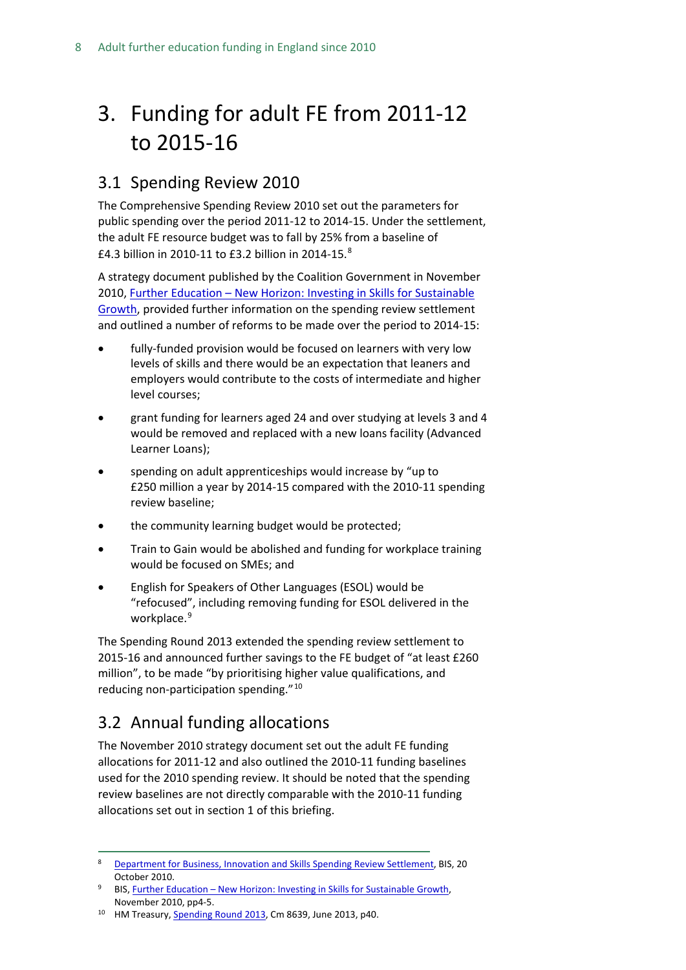## <span id="page-7-0"></span>3. Funding for adult FE from 2011-12 to 2015-16

### <span id="page-7-1"></span>3.1 Spending Review 2010

The Comprehensive Spending Review 2010 set out the parameters for public spending over the period 2011-12 to 2014-15. Under the settlement, the adult FE resource budget was to fall by 25% from a baseline of £4.3 billion in 2010-11 to £3.2 billion in 2014-15.[8](#page-7-3)

A strategy document published by the Coalition Government in November 2010, Further Education – [New Horizon: Investing in Skills for Sustainable](https://www.gov.uk/government/uploads/system/uploads/attachment_data/file/32366/10-1272-strategy-investing-in-skills-for-sustainable-growth.pdf)  [Growth,](https://www.gov.uk/government/uploads/system/uploads/attachment_data/file/32366/10-1272-strategy-investing-in-skills-for-sustainable-growth.pdf) provided further information on the spending review settlement and outlined a number of reforms to be made over the period to 2014-15:

- fully-funded provision would be focused on learners with very low levels of skills and there would be an expectation that leaners and employers would contribute to the costs of intermediate and higher level courses;
- grant funding for learners aged 24 and over studying at levels 3 and 4 would be removed and replaced with a new loans facility (Advanced Learner Loans);
- spending on adult apprenticeships would increase by "up to £250 million a year by 2014-15 compared with the 2010-11 spending review baseline;
- the community learning budget would be protected;
- Train to Gain would be abolished and funding for workplace training would be focused on SMEs; and
- English for Speakers of Other Languages (ESOL) would be "refocused", including removing funding for ESOL delivered in the workplace.<sup>[9](#page-7-4)</sup>

The Spending Round 2013 extended the spending review settlement to 2015-16 and announced further savings to the FE budget of "at least £260 million", to be made "by prioritising higher value qualifications, and reducing non-participation spending."[10](#page-7-5)

### <span id="page-7-2"></span>3.2 Annual funding allocations

The November 2010 strategy document set out the adult FE funding allocations for 2011-12 and also outlined the 2010-11 funding baselines used for the 2010 spending review. It should be noted that the spending review baselines are not directly comparable with the 2010-11 funding allocations set out in section 1 of this briefing.

<span id="page-7-3"></span> <sup>8</sup> [Department for Business, Innovation and Skills Spending Review Settlement,](https://www.gov.uk/government/news/the-department-for-business-innovation-and-skills-spending-review-settlement) BIS, 20 October 2010.

<span id="page-7-4"></span>BIS, Further Education – New Horizon: Investing in Skills for Sustainable Growth, November 2010, pp4-5.

<span id="page-7-5"></span><sup>&</sup>lt;sup>10</sup> HM Treasury[, Spending Round 2013,](https://www.gov.uk/government/uploads/system/uploads/attachment_data/file/209036/spending-round-2013-complete.pdf) Cm 8639, June 2013, p40.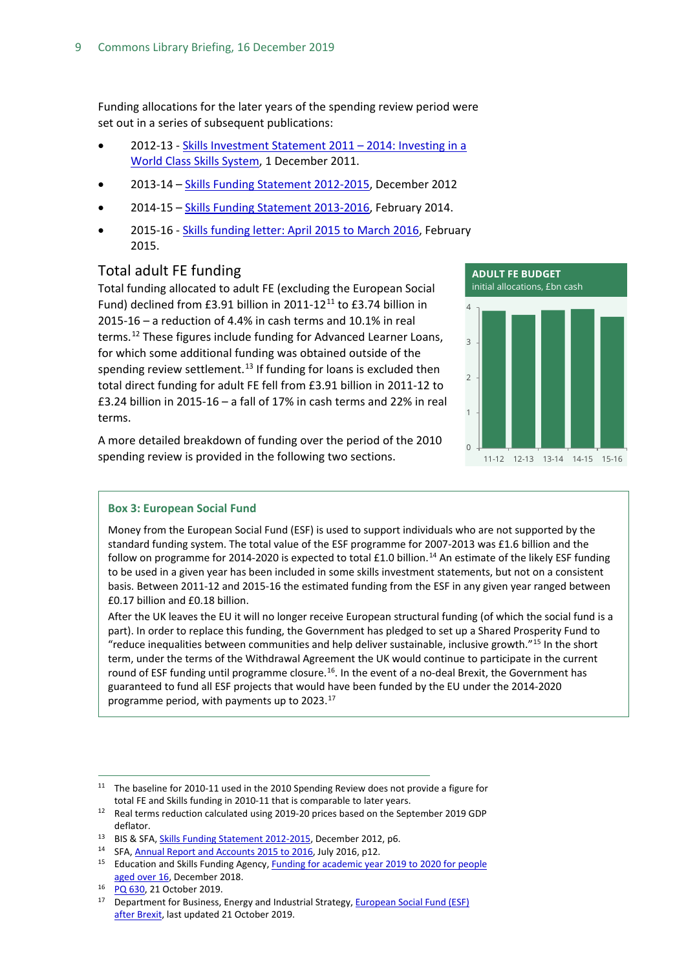Funding allocations for the later years of the spending review period were set out in a series of subsequent publications:

- 2012-13 [Skills Investment Statement 2011 –](https://www.gov.uk/government/uploads/system/uploads/attachment_data/file/32374/11-1374-skills-investment-statement-2011-2014.pdf) 2014: Investing in a [World Class Skills System,](https://www.gov.uk/government/uploads/system/uploads/attachment_data/file/32374/11-1374-skills-investment-statement-2011-2014.pdf) 1 December 2011.
- 2013-14 [Skills Funding Statement 2012-2015,](https://www.gov.uk/government/uploads/system/uploads/attachment_data/file/82774/bis-12-p172x-skills-funding-statement-2012-2015.pdf) December 2012
- 2014-15 [Skills Funding Statement 2013-2016,](https://www.gov.uk/government/uploads/system/uploads/attachment_data/file/278529/bis-14-p172a-skills-funding-statement-2013-2016.pdf) February 2014.
- 2015-16 [Skills funding letter: April 2015 to March 2016,](https://www.gov.uk/government/publications/skills-funding-letter-april-2015-to-march-2016) February 2015.

#### <span id="page-8-0"></span>Total adult FE funding

Total funding allocated to adult FE (excluding the European Social Fund) declined from £3.91 billion in 20[11](#page-8-1)-12 $^{11}$  to £3.74 billion in 2015-16 – a reduction of 4.4% in cash terms and 10.1% in real terms.<sup>[12](#page-8-2)</sup> These figures include funding for Advanced Learner Loans, for which some additional funding was obtained outside of the spending review settlement.<sup>[13](#page-8-3)</sup> If funding for loans is excluded then total direct funding for adult FE fell from £3.91 billion in 2011-12 to £3.24 billion in 2015-16 – a fall of 17% in cash terms and 22% in real terms.

A more detailed breakdown of funding over the period of the 2010 spending review is provided in the following two sections.



#### **Box 3: European Social Fund**

Money from the European Social Fund (ESF) is used to support individuals who are not supported by the standard funding system. The total value of the ESF programme for 2007-2013 was £1.6 billion and the follow on programme for 20[14](#page-8-4)-2020 is expected to total £1.0 billion.<sup>14</sup> An estimate of the likely ESF funding to be used in a given year has been included in some skills investment statements, but not on a consistent basis. Between 2011-12 and 2015-16 the estimated funding from the ESF in any given year ranged between £0.17 billion and £0.18 billion.

After the UK leaves the EU it will no longer receive European structural funding (of which the social fund is a part). In order to replace this funding, the Government has pledged to set up a Shared Prosperity Fund to "reduce inequalities between communities and help deliver sustainable, inclusive growth."[15](#page-8-5) In the short term, under the terms of the Withdrawal Agreement the UK would continue to participate in the current round of ESF funding until programme closure.<sup>16</sup>. In the event of a no-deal Brexit, the Government has guaranteed to fund all ESF projects that would have been funded by the EU under the 2014-2020 programme period, with payments up to 2023. [17](#page-8-7)

<span id="page-8-1"></span><sup>&</sup>lt;sup>11</sup> The baseline for 2010-11 used in the 2010 Spending Review does not provide a figure for total FE and Skills funding in 2010-11 that is comparable to later years.

<span id="page-8-2"></span><sup>12</sup> Real terms reduction calculated using 2019-20 prices based on the September 2019 GDP deflator.<br><sup>13</sup> BIS & SFA, *Skills Funding Statement 2012-2015*, December 2012, p6.

<span id="page-8-3"></span><sup>&</sup>lt;sup>14</sup> SFA[, Annual Report and Accounts 2015 to 2016,](https://www.gov.uk/government/publications/skills-funding-agency-annual-report-and-accounts-2015-to-2016) July 2016, p12.

<span id="page-8-5"></span><span id="page-8-4"></span><sup>&</sup>lt;sup>15</sup> Education and Skills Funding Agency, **Funding for academic year 2019 to 2020 for people** [aged over 16,](https://assets.publishing.service.gov.uk/government/uploads/system/uploads/attachment_data/file/764216/20181212_FINAL_ESFA_funding_letter.pdf) December 2018.

<span id="page-8-7"></span><span id="page-8-6"></span><sup>&</sup>lt;sup>16</sup> [PQ 630,](https://www.parliament.uk/written-questions-answers-statements/written-question/commons/2019-10-15/630) 21 October 2019.

<sup>&</sup>lt;sup>17</sup> Department for Business, Energy and Industrial Strategy, **European Social Fund (ESF)** [after Brexit,](https://www.gov.uk/guidance/european-social-fund-esf-after-brexit) last updated 21 October 2019.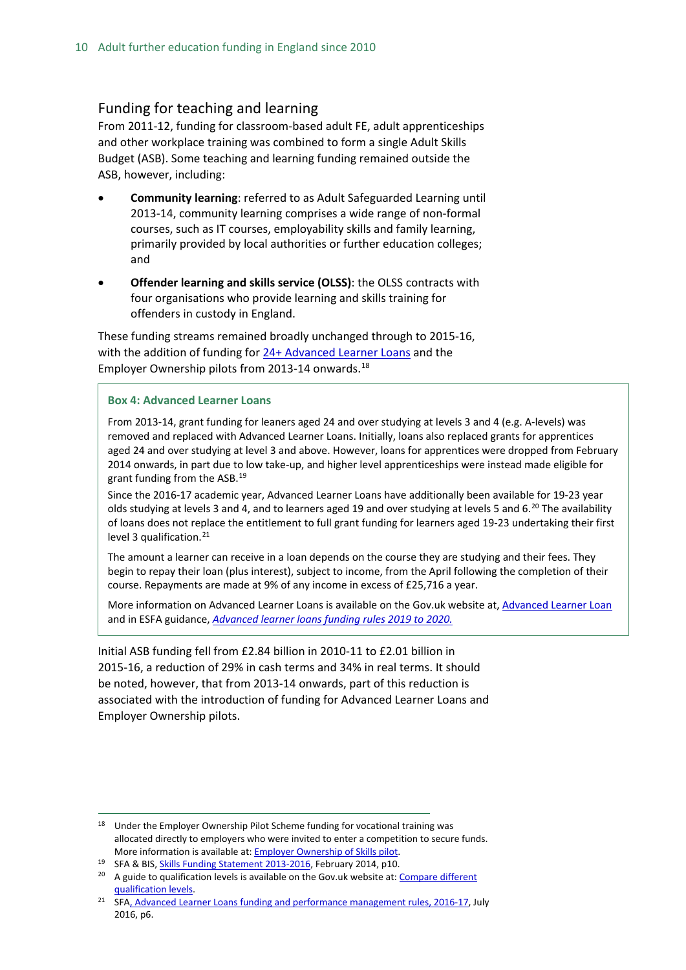#### <span id="page-9-0"></span>Funding for teaching and learning

From 2011-12, funding for classroom-based adult FE, adult apprenticeships and other workplace training was combined to form a single Adult Skills Budget (ASB). Some teaching and learning funding remained outside the ASB, however, including:

- **Community learning**: referred to as Adult Safeguarded Learning until 2013-14, community learning comprises a wide range of non-formal courses, such as IT courses, employability skills and family learning, primarily provided by local authorities or further education colleges; and
- **Offender learning and skills service (OLSS)**: the OLSS contracts with four organisations who provide learning and skills training for offenders in custody in England.

These funding streams remained broadly unchanged through to 2015-16, with the addition of funding for [24+ Advanced Learner Loans](https://www.gov.uk/advanced-learner-loan/overview) and the Employer Ownership pilots from 2013-14 onwards.<sup>[18](#page-9-1)</sup>

#### **Box 4: Advanced Learner Loans**

From 2013-14, grant funding for leaners aged 24 and over studying at levels 3 and 4 (e.g. A-levels) was removed and replaced with Advanced Learner Loans. Initially, loans also replaced grants for apprentices aged 24 and over studying at level 3 and above. However, loans for apprentices were dropped from February 2014 onwards, in part due to low take-up, and higher level apprenticeships were instead made eligible for grant funding from the ASB.[19](#page-9-2)

Since the 2016-17 academic year, Advanced Learner Loans have additionally been available for 19-23 year olds studying at levels 3 and 4, and to learners aged 19 and over studying at levels 5 and 6.<sup>20</sup> The availability of loans does not replace the entitlement to full grant funding for learners aged 19-23 undertaking their first level 3 qualification. $21$ 

The amount a learner can receive in a loan depends on the course they are studying and their fees. They begin to repay their loan (plus interest), subject to income, from the April following the completion of their course. Repayments are made at 9% of any income in excess of £25,716 a year.

More information on Advanced Learner Loans is available on the Gov.uk website at, [Advanced Learner Loan](https://www.gov.uk/advanced-learner-loan/overview) and in ESFA guidance, *[Advanced learner loans funding rules 2019 to 2020.](https://www.gov.uk/government/publications/advanced-learner-loans-funding-rules-2019-to-2020)*

Initial ASB funding fell from £2.84 billion in 2010-11 to £2.01 billion in 2015-16, a reduction of 29% in cash terms and 34% in real terms. It should be noted, however, that from 2013-14 onwards, part of this reduction is associated with the introduction of funding for Advanced Learner Loans and Employer Ownership pilots.

<span id="page-9-1"></span><sup>&</sup>lt;sup>18</sup> Under the Employer Ownership Pilot Scheme funding for vocational training was allocated directly to employers who were invited to enter a competition to secure funds. More information is available at[: Employer Ownership of Skills pilot.](https://www.gov.uk/government/publications/employer-ownership-of-skills-pilot)

<span id="page-9-2"></span><sup>&</sup>lt;sup>19</sup> SFA & BIS, Skills Funding [Statement 2013-2016,](https://www.gov.uk/government/uploads/system/uploads/attachment_data/file/278529/bis-14-p172a-skills-funding-statement-2013-2016.pdf) February 2014, p10.

<span id="page-9-3"></span> $20$  A guide to qualification levels is available on the Gov.uk website at: Compare different [qualification levels.](https://www.gov.uk/what-different-qualification-levels-mean/compare-different-qualification-levels)

<span id="page-9-4"></span><sup>&</sup>lt;sup>21</sup> SF[A, Advanced Learner Loans funding and performance management rules, 2016-17,](https://www.gov.uk/government/uploads/system/uploads/attachment_data/file/533980/Advanced_Learner_Loans_funding_rules_2016_to_2017_V3.pdf) July 2016, p6.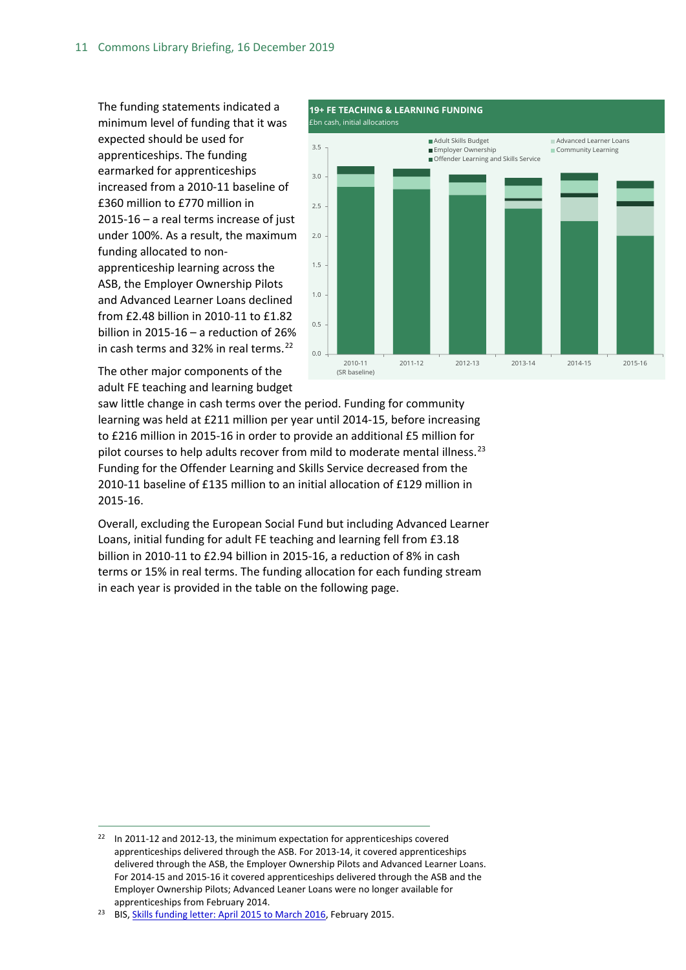The funding statements indicated a minimum level of funding that it was expected should be used for apprenticeships. The funding earmarked for apprenticeships increased from a 2010-11 baseline of £360 million to £770 million in 2015-16 – a real terms increase of just under 100%. As a result, the maximum funding allocated to nonapprenticeship learning across the ASB, the Employer Ownership Pilots and Advanced Learner Loans declined from £2.48 billion in 2010-11 to £1.82 billion in 2015-16 – a reduction of 26% in cash terms and 32% in real terms.<sup>[22](#page-10-0)</sup>

£bn cash, initial allocations  $0.0$ 0.5 1.0 1.5 2.0  $2.5$ 3.0 3.5 2010-11 (SR baseline) 2011-12 2012-13 2013-14 2014-15 2015-16 Adult Skills Budget Advanced Learner Loans ■ Employer Ownership Community Learning ■ Offender Learning and Skills Service

**19+ FE TEACHING & LEARNING FUNDING** 

The other major components of the adult FE teaching and learning budget

saw little change in cash terms over the period. Funding for community learning was held at £211 million per year until 2014-15, before increasing to £216 million in 2015-16 in order to provide an additional £5 million for pilot courses to help adults recover from mild to moderate mental illness. $^{23}$  $^{23}$  $^{23}$ Funding for the Offender Learning and Skills Service decreased from the 2010-11 baseline of £135 million to an initial allocation of £129 million in 2015-16.

Overall, excluding the European Social Fund but including Advanced Learner Loans, initial funding for adult FE teaching and learning fell from £3.18 billion in 2010-11 to £2.94 billion in 2015-16, a reduction of 8% in cash terms or 15% in real terms. The funding allocation for each funding stream in each year is provided in the table on the following page.

<span id="page-10-0"></span> $22$  In 2011-12 and 2012-13, the minimum expectation for apprenticeships covered apprenticeships delivered through the ASB. For 2013-14, it covered apprenticeships delivered through the ASB, the Employer Ownership Pilots and Advanced Learner Loans. For 2014-15 and 2015-16 it covered apprenticeships delivered through the ASB and the Employer Ownership Pilots; Advanced Leaner Loans were no longer available for apprenticeships from February 2014.

<span id="page-10-1"></span><sup>&</sup>lt;sup>23</sup> BIS, [Skills funding letter: April 2015 to March 2016,](https://www.gov.uk/government/publications/skills-funding-letter-april-2015-to-march-2016) February 2015.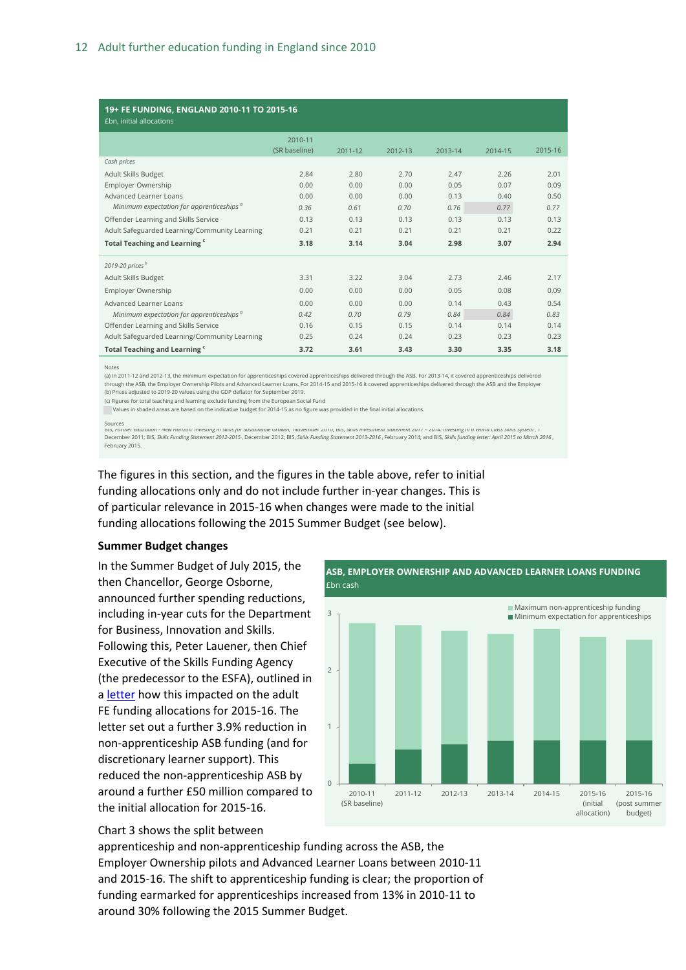| 19+ FE FUNDING, ENGLAND 2010-11 TO 2015-16<br>£bn, initial allocations |               |         |         |         |         |         |  |  |  |
|------------------------------------------------------------------------|---------------|---------|---------|---------|---------|---------|--|--|--|
|                                                                        | 2010-11       |         |         |         |         |         |  |  |  |
|                                                                        | (SR baseline) | 2011-12 | 2012-13 | 2013-14 | 2014-15 | 2015-16 |  |  |  |
| Cash prices                                                            |               |         |         |         |         |         |  |  |  |
| Adult Skills Budget                                                    | 2.84          | 2.80    | 2.70    | 2.47    | 2.26    | 2.01    |  |  |  |
| Employer Ownership                                                     | 0.00          | 0.00    | 0.00    | 0.05    | 0.07    | 0.09    |  |  |  |
| Advanced Learner Loans                                                 | 0.00          | 0.00    | 0.00    | 0.13    | 0.40    | 0.50    |  |  |  |
| Minimum expectation for apprenticeships <sup><i>a</i></sup>            | 0.36          | 0.61    | 0.70    | 0.76    | 0.77    | 0.77    |  |  |  |
| Offender Learning and Skills Service                                   | 0.13          | 0.13    | 0.13    | 0.13    | 0.13    | 0.13    |  |  |  |
| Adult Safeguarded Learning/Community Learning                          | 0.21          | 0.21    | 0.21    | 0.21    | 0.21    | 0.22    |  |  |  |
| Total Teaching and Learning "                                          | 3.18          | 3.14    | 3.04    | 2.98    | 3.07    | 2.94    |  |  |  |
| 2019-20 prices <sup>b</sup>                                            |               |         |         |         |         |         |  |  |  |
| Adult Skills Budget                                                    | 3.31          | 3.22    | 3.04    | 2.73    | 2.46    | 2.17    |  |  |  |
| Employer Ownership                                                     | 0.00          | 0.00    | 0.00    | 0.05    | 0.08    | 0.09    |  |  |  |
| Advanced Learner Loans                                                 | 0.00          | 0.00    | 0.00    | 0.14    | 0.43    | 0.54    |  |  |  |
| Minimum expectation for apprenticeships <sup>a</sup>                   | 0.42          | 0.70    | 0.79    | 0.84    | 0.84    | 0.83    |  |  |  |
| Offender Learning and Skills Service                                   | 0.16          | 0.15    | 0.15    | 0.14    | 0.14    | 0.14    |  |  |  |
| Adult Safeguarded Learning/Community Learning                          | 0.25          | 0.24    | 0.24    | 0.23    | 0.23    | 0.23    |  |  |  |
| Total Teaching and Learning "                                          | 3.72          | 3.61    | 3.43    | 3.30    | 3.35    | 3.18    |  |  |  |

Notes

(a) In 2011-12 and 2012-13, the minimum expectation for apprenticeships covered apprenticeships delivered through the ASB. For 2013-14, it covered apprenticeships delivered through the ASB, the Employer Ownership Pilots and Advanced Learner Loans. For 2014-15 and 2015-16 it covered apprenticeships delivered through the ASB and the Employer<br>(b) Prices adjusted to 2019-20 values using the GDP d

(c) Figures for total teaching and learning exclude funding from the European Social Fund

Values in shaded areas are based on the indicative budget for 2014-15 as no figure was provided in the final initial allocations.

BIS, *Further Education - New Horizon: Investing in Skills for Sustainable Growth,* November 2010; BIS, *Skills Investment Statement 2011 – 2014: Investing in a World Class Skills System* , 1 December 2011; BIS, *Skills Funding Statement 2012-2015* , December 2012; BIS, *Skills Funding Statement 2013-2016* , February 2014; and BIS, *Skills funding letter: April 2015 to March 2016* , February 2015. Sources<br>BIS, rurther Equal

The figures in this section, and the figures in the table above, refer to initial funding allocations only and do not include further in-year changes. This is of particular relevance in 2015-16 when changes were made to the initial funding allocations following the 2015 Summer Budget (see below).

#### **Summer Budget changes**

In the Summer Budget of July 2015, the then Chancellor, George Osborne, announced further spending reductions, including in-year cuts for the Department for Business, Innovation and Skills. Following this, Peter Lauener, then Chief Executive of the Skills Funding Agency (the predecessor to the ESFA), outlined in a [letter](https://www.gov.uk/government/uploads/system/uploads/attachment_data/file/446922/Funding_Allocations_2015_to_2016.pdf) how this impacted on the adult FE funding allocations for 2015-16. The letter set out a further 3.9% reduction in non-apprenticeship ASB funding (and for discretionary learner support). This reduced the non-apprenticeship ASB by around a further £50 million compared to the initial allocation for 2015-16.



#### Chart 3 shows the split between

apprenticeship and non-apprenticeship funding across the ASB, the Employer Ownership pilots and Advanced Learner Loans between 2010-11 and 2015-16. The shift to apprenticeship funding is clear; the proportion of funding earmarked for apprenticeships increased from 13% in 2010-11 to around 30% following the 2015 Summer Budget.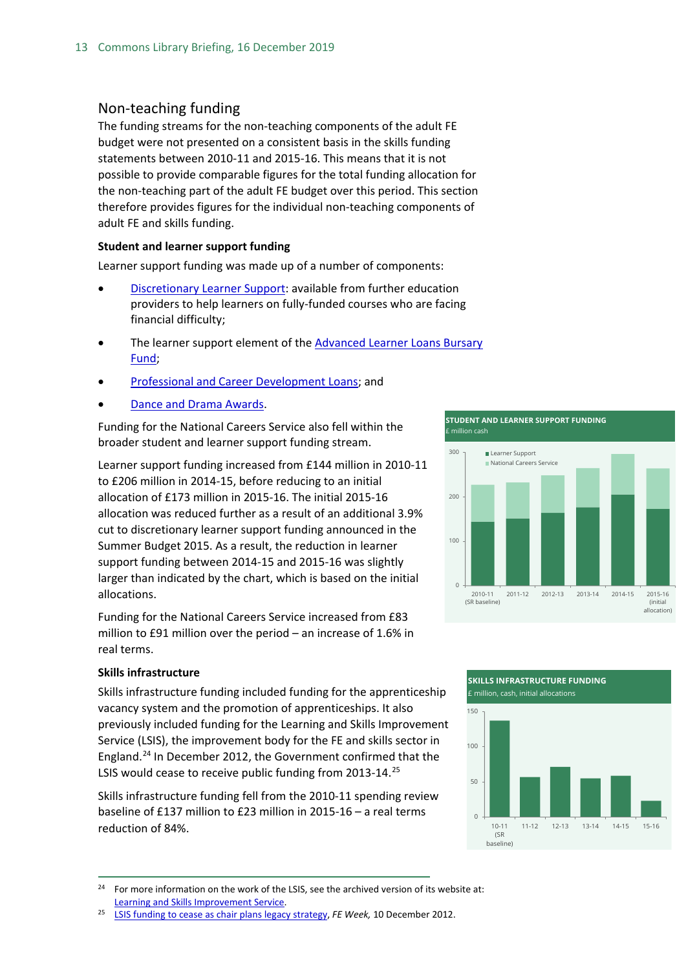#### <span id="page-12-0"></span>Non-teaching funding

The funding streams for the non-teaching components of the adult FE budget were not presented on a consistent basis in the skills funding statements between 2010-11 and 2015-16. This means that it is not possible to provide comparable figures for the total funding allocation for the non-teaching part of the adult FE budget over this period. This section therefore provides figures for the individual non-teaching components of adult FE and skills funding.

#### **Student and learner support funding**

Learner support funding was made up of a number of components:

- [Discretionary Learner Support:](https://www.gov.uk/discretionary-learner-support) available from further education providers to help learners on fully-funded courses who are facing financial difficulty;
- The learner support element of the **Advanced Learner Loans Bursary** [Fund;](https://www.gov.uk/advanced-learner-loan/bursary-fund)
- [Professional and Career Development Loans;](https://www.gov.uk/career-development-loans/overview) and
- [Dance and Drama Awards.](https://www.gov.uk/dance-drama-awards)

Funding for the National Careers Service also fell within the broader student and learner support funding stream.

Learner support funding increased from £144 million in 2010-11 to £206 million in 2014-15, before reducing to an initial allocation of £173 million in 2015-16. The initial 2015-16 allocation was reduced further as a result of an additional 3.9% cut to discretionary learner support funding announced in the Summer Budget 2015. As a result, the reduction in learner support funding between 2014-15 and 2015-16 was slightly larger than indicated by the chart, which is based on the initial allocations.

Funding for the National Careers Service increased from £83 million to £91 million over the period – an increase of 1.6% in real terms.

#### **Skills infrastructure**

Skills infrastructure funding included funding for the apprenticeship vacancy system and the promotion of apprenticeships. It also previously included funding for the Learning and Skills Improvement Service (LSIS), the improvement body for the FE and skills sector in England.[24](#page-12-1) In December 2012, the Government confirmed that the LSIS would cease to receive public funding from 2013-14.<sup>[25](#page-12-2)</sup>

Skills infrastructure funding fell from the 2010-11 spending review baseline of £137 million to £23 million in 2015-16 – a real terms reduction of 84%.

**STUDENT AND LEARNER SUPPORT FUNDING** £ million cash







<span id="page-12-1"></span><sup>&</sup>lt;sup>24</sup> For more information on the work of the LSIS, see the archived version of its website at: [Learning and Skills Improvement Service.](http://webarchive.nationalarchives.gov.uk/20070905124712/http:/lsis.org.uk/LSISHome.aspx)

<span id="page-12-2"></span><sup>25</sup> [LSIS funding to cease as chair plans legacy strategy,](http://feweek.co.uk/2012/12/10/lsis-funding-to-cease-as-chair-plans-legacy-strategy/) *FE Week,* 10 December 2012.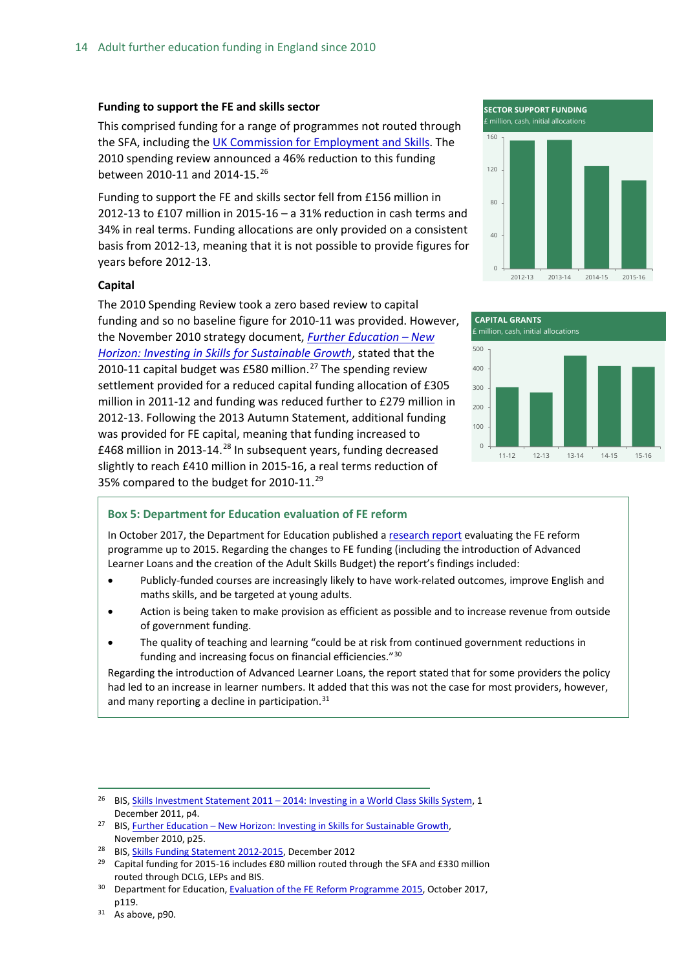#### **Funding to support the FE and skills sector**

This comprised funding for a range of programmes not routed through the SFA, including th[e UK Commission for Employment and Skills.](https://www.gov.uk/government/organisations/uk-commission-for-employment-and-skills) The 2010 spending review announced a 46% reduction to this funding between 2010-11 and 2014-15.<sup>[26](#page-13-0)</sup>

Funding to support the FE and skills sector fell from £156 million in 2012-13 to £107 million in 2015-16 – a 31% reduction in cash terms and 34% in real terms. Funding allocations are only provided on a consistent basis from 2012-13, meaning that it is not possible to provide figures for years before 2012-13.

#### **Capital**

The 2010 Spending Review took a zero based review to capital funding and so no baseline figure for 2010-11 was provided. However, the November 2010 strategy document, *[Further Education –](https://www.gov.uk/government/uploads/system/uploads/attachment_data/file/32366/10-1272-strategy-investing-in-skills-for-sustainable-growth.pdf) New [Horizon: Investing in Skills for Sustainable Growth](https://www.gov.uk/government/uploads/system/uploads/attachment_data/file/32366/10-1272-strategy-investing-in-skills-for-sustainable-growth.pdf)*, stated that the 2010-11 capital budget was £580 million.<sup>[27](#page-13-1)</sup> The spending review settlement provided for a reduced capital funding allocation of £305 million in 2011-12 and funding was reduced further to £279 million in 2012-13. Following the 2013 Autumn Statement, additional funding was provided for FE capital, meaning that funding increased to £468 million in 2013-14.<sup>[28](#page-13-2)</sup> In subsequent years, funding decreased slightly to reach £410 million in 2015-16, a real terms reduction of 35% compared to the budget for 2010-11.<sup>[29](#page-13-3)</sup>





#### **Box 5: Department for Education evaluation of FE reform**

In October 2017, the Department for Education published [a research report](https://www.gov.uk/government/publications/further-education-reform-programme-evaluation) evaluating the FE reform programme up to 2015. Regarding the changes to FE funding (including the introduction of Advanced Learner Loans and the creation of the Adult Skills Budget) the report's findings included:

- Publicly-funded courses are increasingly likely to have work-related outcomes, improve English and maths skills, and be targeted at young adults.
- Action is being taken to make provision as efficient as possible and to increase revenue from outside of government funding.
- The quality of teaching and learning "could be at risk from continued government reductions in funding and increasing focus on financial efficiencies."[30](#page-13-4)

Regarding the introduction of Advanced Learner Loans, the report stated that for some providers the policy had led to an increase in learner numbers. It added that this was not the case for most providers, however, and many reporting a decline in participation. $31$ 

<span id="page-13-0"></span><sup>&</sup>lt;sup>26</sup> BIS, Skills Investment Statement 2011 – [2014: Investing in a World Class Skills System,](https://www.gov.uk/government/uploads/system/uploads/attachment_data/file/32374/11-1374-skills-investment-statement-2011-2014.pdf) 1 December 2011, p4.

<span id="page-13-1"></span><sup>&</sup>lt;sup>27</sup> BIS, **Further Education – New Horizon: Investing in Skills for Sustainable Growth,** November 2010, p25.

<span id="page-13-2"></span><sup>28</sup> BIS, [Skills Funding Statement 2012-2015,](https://www.gov.uk/government/uploads/system/uploads/attachment_data/file/82774/bis-12-p172x-skills-funding-statement-2012-2015.pdf) December 2012

<span id="page-13-3"></span><sup>&</sup>lt;sup>29</sup> Capital funding for 2015-16 includes £80 million routed through the SFA and £330 million routed through DCLG, LEPs and BIS.<br><sup>30</sup> Department for Education[, Evaluation of the FE Reform Programme 2015,](https://www.gov.uk/government/uploads/system/uploads/attachment_data/file/652495/Evaluation_of_the_FE_Reform_Programme_2015.pdf) October 2017,

<span id="page-13-4"></span>p119.

<span id="page-13-5"></span> $31$  As above, p90.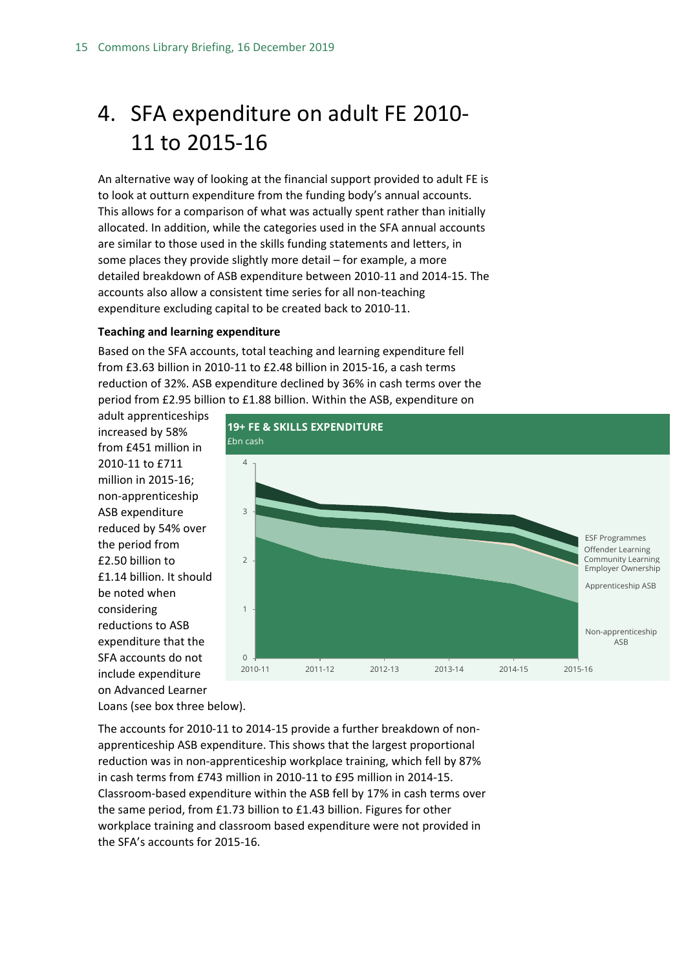## <span id="page-14-0"></span>4. SFA expenditure on adult FE 2010- 11 to 2015-16

An alternative way of looking at the financial support provided to adult FE is to look at outturn expenditure from the funding body's annual accounts. This allows for a comparison of what was actually spent rather than initially allocated. In addition, while the categories used in the SFA annual accounts are similar to those used in the skills funding statements and letters, in some places they provide slightly more detail – for example, a more detailed breakdown of ASB expenditure between 2010-11 and 2014-15. The accounts also allow a consistent time series for all non-teaching expenditure excluding capital to be created back to 2010-11.

#### **Teaching and learning expenditure**

Based on the SFA accounts, total teaching and learning expenditure fell from £3.63 billion in 2010-11 to £2.48 billion in 2015-16, a cash terms reduction of 32%. ASB expenditure declined by 36% in cash terms over the period from £2.95 billion to £1.88 billion. Within the ASB, expenditure on

adult apprenticeships increased by 58% from £451 million in 2010-11 to £711 million in 2015-16; non-apprenticeship ASB expenditure reduced by 54% over the period from £2.50 billion to £1.14 billion. It should be noted when considering reductions to ASB expenditure that the SFA accounts do not include expenditure on Advanced Learner Loans (see box three below).



The accounts for 2010-11 to 2014-15 provide a further breakdown of nonapprenticeship ASB expenditure. This shows that the largest proportional reduction was in non-apprenticeship workplace training, which fell by 87% in cash terms from £743 million in 2010-11 to £95 million in 2014-15. Classroom-based expenditure within the ASB fell by 17% in cash terms over the same period, from £1.73 billion to £1.43 billion. Figures for other workplace training and classroom based expenditure were not provided in the SFA's accounts for 2015-16.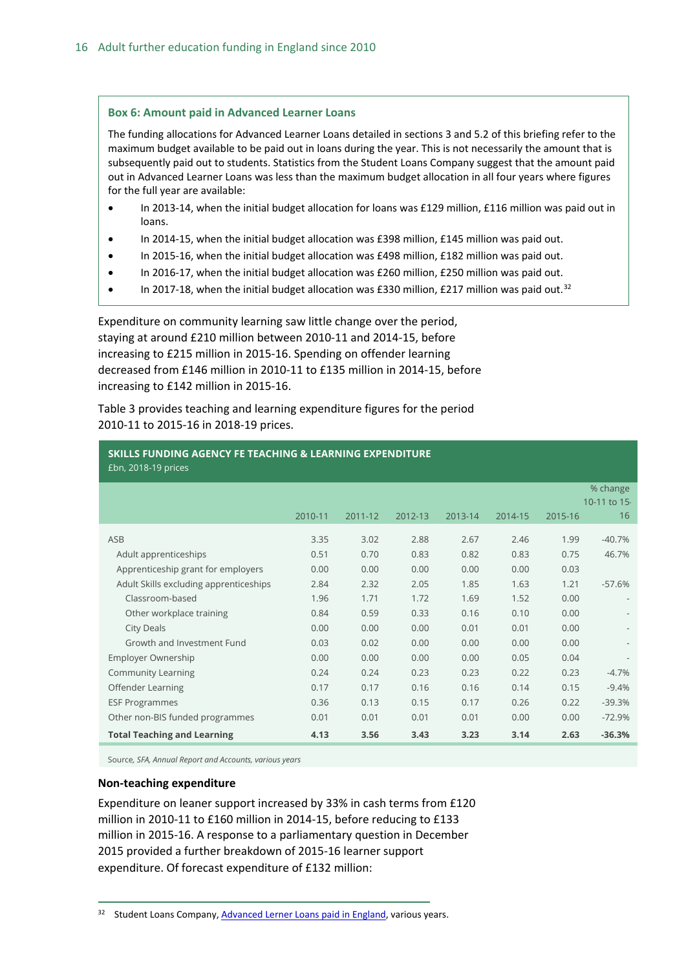#### **Box 6: Amount paid in Advanced Learner Loans**

The funding allocations for Advanced Learner Loans detailed in sections 3 and 5.2 of this briefing refer to the maximum budget available to be paid out in loans during the year. This is not necessarily the amount that is subsequently paid out to students. Statistics from the Student Loans Company suggest that the amount paid out in Advanced Learner Loans was less than the maximum budget allocation in all four years where figures for the full year are available:

- In 2013-14, when the initial budget allocation for loans was £129 million, £116 million was paid out in loans.
- In 2014-15, when the initial budget allocation was £398 million, £145 million was paid out.
- In 2015-16, when the initial budget allocation was £498 million, £182 million was paid out.
- In 2016-17, when the initial budget allocation was £260 million, £250 million was paid out.
- In 2017-18, when the initial budget allocation was £330 million, £217 million was paid out.<sup>[32](#page-15-0)</sup>

Expenditure on community learning saw little change over the period, staying at around £210 million between 2010-11 and 2014-15, before increasing to £215 million in 2015-16. Spending on offender learning decreased from £146 million in 2010-11 to £135 million in 2014-15, before increasing to £142 million in 2015-16.

Table 3 provides teaching and learning expenditure figures for the period 2010-11 to 2015-16 in 2018-19 prices.

| <b>SKILLS FUNDING AGENCY FE TEACHING &amp; LEARNING EXPENDITURE</b><br>£bn, 2018-19 prices |         |         |         |         |         |         |              |
|--------------------------------------------------------------------------------------------|---------|---------|---------|---------|---------|---------|--------------|
|                                                                                            |         |         |         |         |         |         | % change     |
|                                                                                            |         |         |         |         |         |         | 10-11 to 15. |
|                                                                                            | 2010-11 | 2011-12 | 2012-13 | 2013-14 | 2014-15 | 2015-16 | 16           |
| ASB                                                                                        | 3.35    | 3.02    | 2.88    | 2.67    | 2.46    | 1.99    | $-40.7%$     |
| Adult apprenticeships                                                                      | 0.51    | 0.70    | 0.83    | 0.82    | 0.83    | 0.75    | 46.7%        |
| Apprenticeship grant for employers                                                         | 0.00    | 0.00    | 0.00    | 0.00    | 0.00    | 0.03    |              |
| Adult Skills excluding apprenticeships                                                     | 2.84    | 2.32    | 2.05    | 1.85    | 1.63    | 1.21    | $-57.6%$     |
| Classroom-based                                                                            | 1.96    | 1.71    | 1.72    | 1.69    | 1.52    | 0.00    |              |
| Other workplace training                                                                   | 0.84    | 0.59    | 0.33    | 0.16    | 0.10    | 0.00    |              |
| <b>City Deals</b>                                                                          | 0.00    | 0.00    | 0.00    | 0.01    | 0.01    | 0.00    |              |
| Growth and Investment Fund                                                                 | 0.03    | 0.02    | 0.00    | 0.00    | 0.00    | 0.00    |              |
| Employer Ownership                                                                         | 0.00    | 0.00    | 0.00    | 0.00    | 0.05    | 0.04    |              |
| <b>Community Learning</b>                                                                  | 0.24    | 0.24    | 0.23    | 0.23    | 0.22    | 0.23    | $-4.7%$      |
| Offender Learning                                                                          | 0.17    | 0.17    | 0.16    | 0.16    | 0.14    | 0.15    | $-9.4%$      |
| <b>ESF Programmes</b>                                                                      | 0.36    | 0.13    | 0.15    | 0.17    | 0.26    | 0.22    | $-39.3%$     |
| Other non-BIS funded programmes                                                            | 0.01    | 0.01    | 0.01    | 0.01    | 0.00    | 0.00    | $-72.9%$     |
| <b>Total Teaching and Learning</b>                                                         | 4.13    | 3.56    | 3.43    | 3.23    | 3.14    | 2.63    | $-36.3%$     |

Source*, SFA, Annual Report and Accounts, various years*

#### **Non-teaching expenditure**

Expenditure on leaner support increased by 33% in cash terms from £120 million in 2010-11 to £160 million in 2014-15, before reducing to £133 million in 2015-16. A response to a parliamentary question in December 2015 provided a further breakdown of 2015-16 learner support expenditure. Of forecast expenditure of £132 million:

<span id="page-15-0"></span><sup>32</sup> Student Loans Company[, Advanced Lerner Loans paid in England,](http://www.slc.co.uk/official-statistics/full-catalogue-of-official-statistics/student-support-for-further-education-england.aspx) various years.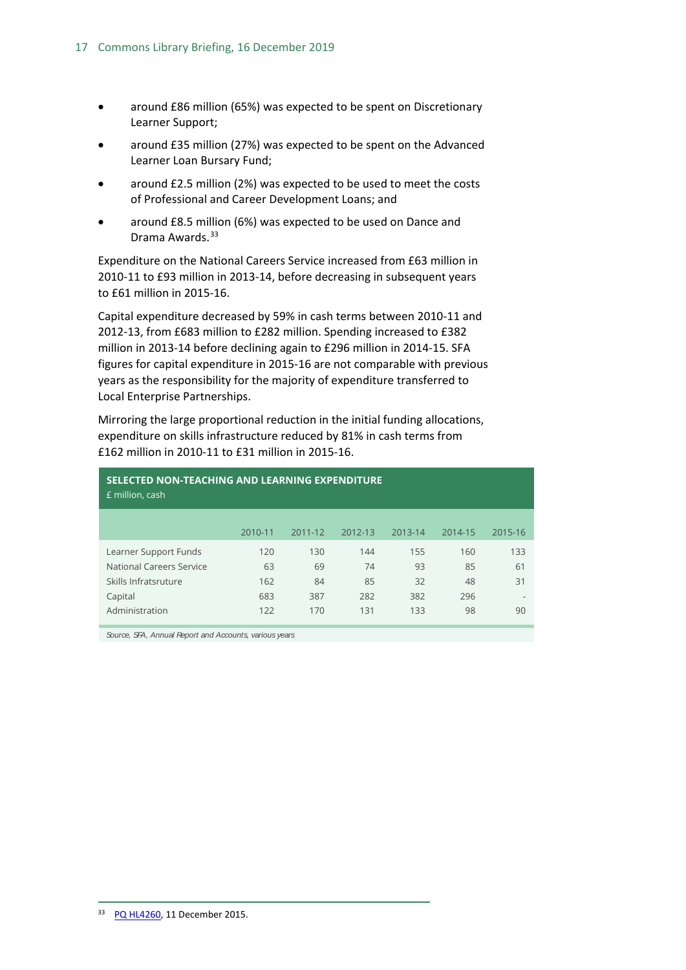- around £86 million (65%) was expected to be spent on Discretionary Learner Support;
- around £35 million (27%) was expected to be spent on the Advanced Learner Loan Bursary Fund;
- around £2.5 million (2%) was expected to be used to meet the costs of Professional and Career Development Loans; and
- around £8.5 million (6%) was expected to be used on Dance and Drama Awards.<sup>[33](#page-16-0)</sup>

Expenditure on the National Careers Service increased from £63 million in 2010-11 to £93 million in 2013-14, before decreasing in subsequent years to £61 million in 2015-16.

Capital expenditure decreased by 59% in cash terms between 2010-11 and 2012-13, from £683 million to £282 million. Spending increased to £382 million in 2013-14 before declining again to £296 million in 2014-15. SFA figures for capital expenditure in 2015-16 are not comparable with previous years as the responsibility for the majority of expenditure transferred to Local Enterprise Partnerships.

Mirroring the large proportional reduction in the initial funding allocations, expenditure on skills infrastructure reduced by 81% in cash terms from £162 million in 2010-11 to £31 million in 2015-16.

| SELECTED NON-TEACHING AND LEARNING EXPENDITURE<br>£ million, cash |         |         |         |         |         |         |  |  |  |
|-------------------------------------------------------------------|---------|---------|---------|---------|---------|---------|--|--|--|
|                                                                   | 2010-11 | 2011-12 | 2012-13 | 2013-14 | 2014-15 | 2015-16 |  |  |  |
| Learner Support Funds                                             | 120     | 130     | 144     | 155     | 160     | 133     |  |  |  |
| National Careers Service                                          | 63      | 69      | 74      | 93      | 85      | 61      |  |  |  |
| Skills Infratsruture                                              | 162     | 84      | 85      | 32      | 48      | 31      |  |  |  |
| Capital                                                           | 683     | 387     | 282     | 382     | 296     |         |  |  |  |
| Administration                                                    | 122     | 170     | 131     | 133     | 98      | 90      |  |  |  |

<span id="page-16-0"></span>*Source, SFA, Annual Report and Accounts, various years*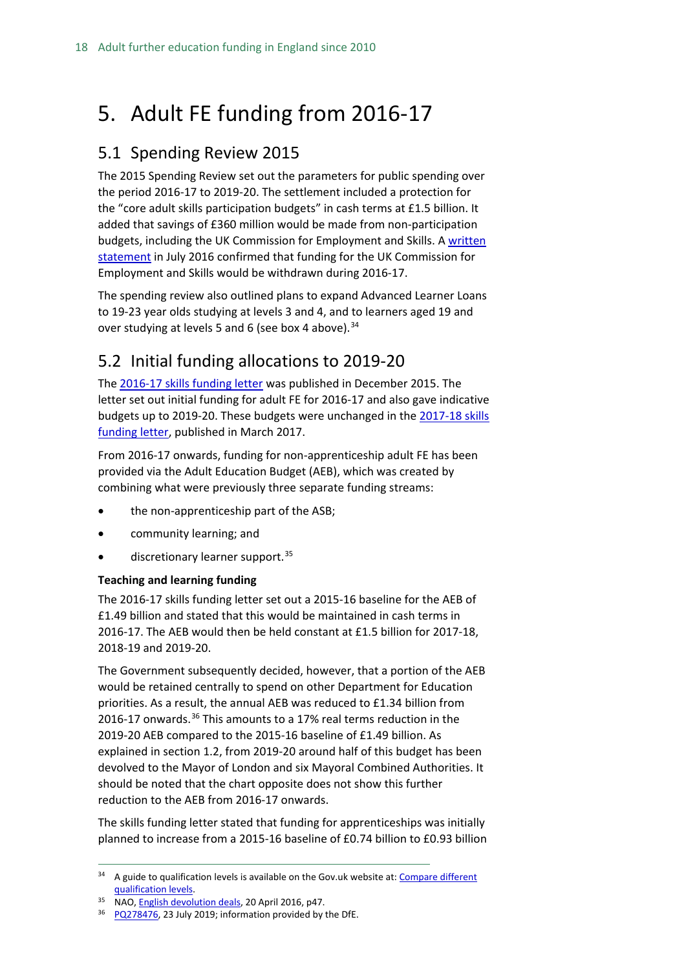## <span id="page-17-0"></span>5. Adult FE funding from 2016-17

### <span id="page-17-1"></span>5.1 Spending Review 2015

The 2015 Spending Review set out the parameters for public spending over the period 2016-17 to 2019-20. The settlement included a protection for the "core adult skills participation budgets" in cash terms at £1.5 billion. It added that savings of £360 million would be made from non-participation budgets, including the UK Commission for Employment and Skills. A [written](http://www.parliament.uk/business/publications/written-questions-answers-statements/written-statement/Commons/2016-07-21/HCWS121/)  [statement](http://www.parliament.uk/business/publications/written-questions-answers-statements/written-statement/Commons/2016-07-21/HCWS121/) in July 2016 confirmed that funding for the UK Commission for Employment and Skills would be withdrawn during 2016-17.

The spending review also outlined plans to expand Advanced Learner Loans to 19-23 year olds studying at levels 3 and 4, and to learners aged 19 and over studying at levels 5 and 6 (see box 4 above).<sup>[34](#page-17-3)</sup>

### <span id="page-17-2"></span>5.2 Initial funding allocations to 2019-20

The [2016-17 skills funding letter](https://www.gov.uk/government/uploads/system/uploads/attachment_data/file/485969/BIS-15-615-skills-funding-letter-2016-to-2017.pdf) was published in December 2015. The letter set out initial funding for adult FE for 2016-17 and also gave indicative budgets up to 2019-20. These budgets were unchanged in the [2017-18 skills](https://assets.publishing.service.gov.uk/government/uploads/system/uploads/attachment_data/file/599089/SFA_Letter_2017-18_final.pdf)  [funding letter,](https://assets.publishing.service.gov.uk/government/uploads/system/uploads/attachment_data/file/599089/SFA_Letter_2017-18_final.pdf) published in March 2017.

From 2016-17 onwards, funding for non-apprenticeship adult FE has been provided via the Adult Education Budget (AEB), which was created by combining what were previously three separate funding streams:

- the non-apprenticeship part of the ASB;
- community learning; and
- discretionary learner support.<sup>[35](#page-17-4)</sup>

#### **Teaching and learning funding**

The 2016-17 skills funding letter set out a 2015-16 baseline for the AEB of £1.49 billion and stated that this would be maintained in cash terms in 2016-17. The AEB would then be held constant at £1.5 billion for 2017-18, 2018-19 and 2019-20.

The Government subsequently decided, however, that a portion of the AEB would be retained centrally to spend on other Department for Education priorities. As a result, the annual AEB was reduced to £1.34 billion from 2016-17 onwards.<sup>[36](#page-17-5)</sup> This amounts to a 17% real terms reduction in the 2019-20 AEB compared to the 2015-16 baseline of £1.49 billion. As explained in section 1.2, from 2019-20 around half of this budget has been devolved to the Mayor of London and six Mayoral Combined Authorities. It should be noted that the chart opposite does not show this further reduction to the AEB from 2016-17 onwards.

The skills funding letter stated that funding for apprenticeships was initially planned to increase from a 2015-16 baseline of £0.74 billion to £0.93 billion

<span id="page-17-3"></span> $34$  A guide to qualification levels is available on the Gov.uk website at: Compare different [qualification levels.](https://www.gov.uk/what-different-qualification-levels-mean/compare-different-qualification-levels)

<span id="page-17-4"></span><sup>&</sup>lt;sup>35</sup> NAO[, English devolution deals,](https://www.nao.org.uk/wp-content/uploads/2016/04/English-devolution-deals.pdf) 20 April 2016, p47.

<span id="page-17-5"></span><sup>&</sup>lt;sup>36</sup> [PQ278476,](https://www.parliament.uk/written-questions-answers-statements/written-question/commons/2019-07-17/278476) 23 July 2019; information provided by the DfE.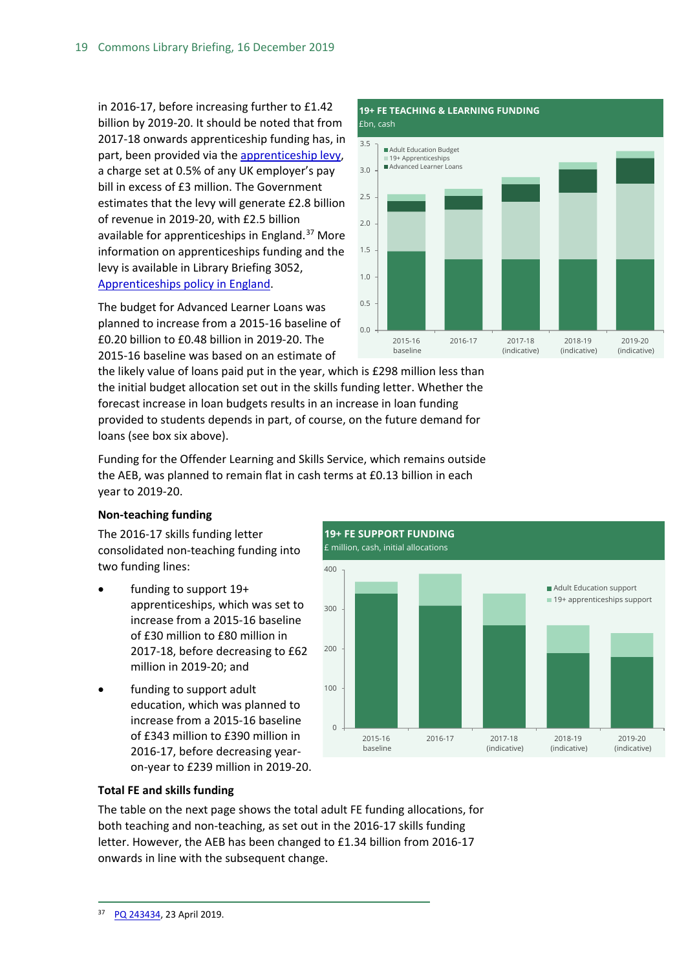in 2016-17, before increasing further to £1.42 billion by 2019-20. It should be noted that from 2017-18 onwards apprenticeship funding has, in part, been provided via the [apprenticeship levy,](http://researchbriefings.parliament.uk/ResearchBriefing/Summary/CBP-7523) a charge set at 0.5% of any UK employer's pay bill in excess of £3 million. The Government estimates that the levy will generate £2.8 billion of revenue in 2019-20, with £2.5 billion available for apprenticeships in England.<sup>[37](#page-18-0)</sup> More information on apprenticeships funding and the levy is available in Library Briefing 3052, [Apprenticeships policy in England.](http://researchbriefings.parliament.uk/ResearchBriefing/Summary/SN03052#fullreport)

The budget for Advanced Learner Loans was planned to increase from a 2015-16 baseline of £0.20 billion to £0.48 billion in 2019-20. The 2015-16 baseline was based on an estimate of



the likely value of loans paid put in the year, which is £298 million less than the initial budget allocation set out in the skills funding letter. Whether the forecast increase in loan budgets results in an increase in loan funding provided to students depends in part, of course, on the future demand for loans (see box six above).

Funding for the Offender Learning and Skills Service, which remains outside the AEB, was planned to remain flat in cash terms at £0.13 billion in each year to 2019-20.

#### **Non-teaching funding**

The 2016-17 skills funding letter consolidated non-teaching funding into two funding lines:

- funding to support 19+ apprenticeships, which was set to increase from a 2015-16 baseline of £30 million to £80 million in 2017-18, before decreasing to £62 million in 2019-20; and
- funding to support adult education, which was planned to increase from a 2015-16 baseline of £343 million to £390 million in 2016-17, before decreasing yearon-year to £239 million in 2019-20.



#### **Total FE and skills funding**

<span id="page-18-0"></span>The table on the next page shows the total adult FE funding allocations, for both teaching and non-teaching, as set out in the 2016-17 skills funding letter. However, the AEB has been changed to £1.34 billion from 2016-17 onwards in line with the subsequent change.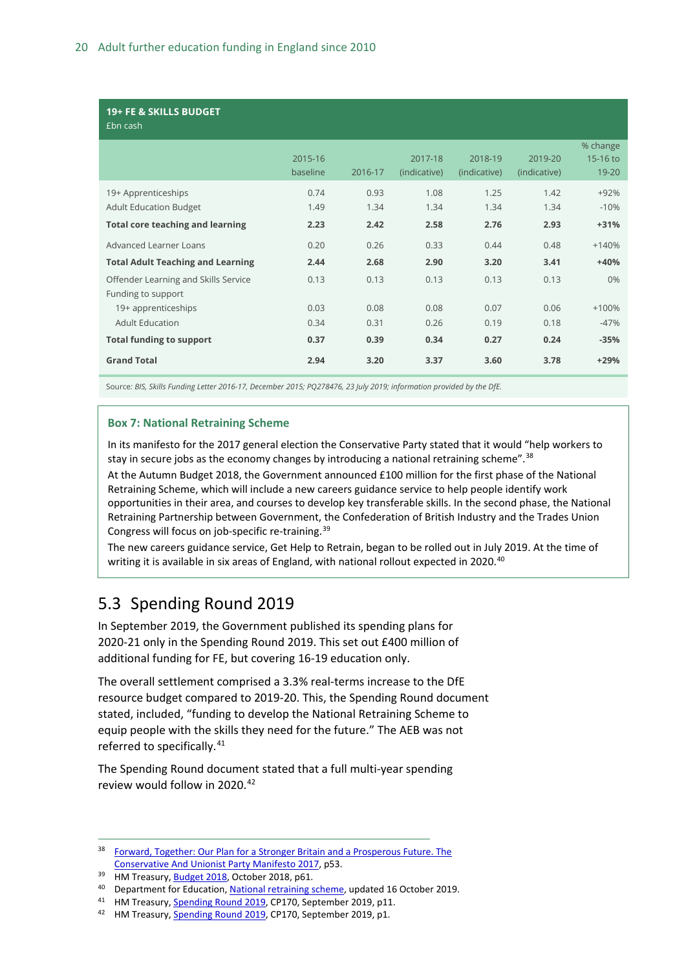#### **19+ FE & SKILLS BUDGET**

£bn cash

| ייכשט ווטב                                           |                     |              |                         |                         |                         |                               |
|------------------------------------------------------|---------------------|--------------|-------------------------|-------------------------|-------------------------|-------------------------------|
|                                                      | 2015-16<br>baseline | 2016-17      | 2017-18<br>(indicative) | 2018-19<br>(indicative) | 2019-20<br>(indicative) | % change<br>15-16 to<br>19-20 |
| 19+ Apprenticeships<br><b>Adult Education Budget</b> | 0.74<br>1.49        | 0.93<br>1.34 | 1.08<br>1.34            | 1.25<br>1.34            | 1.42<br>1.34            | $+92%$<br>$-10%$              |
| <b>Total core teaching and learning</b>              | 2.23                | 2.42         | 2.58                    | 2.76                    | 2.93                    | $+31%$                        |
| Advanced Learner Loans                               | 0.20                | 0.26         | 0.33                    | 0.44                    | 0.48                    | $+140%$                       |
| <b>Total Adult Teaching and Learning</b>             | 2.44                | 2.68         | 2.90                    | 3.20                    | 3.41                    | $+40%$                        |
| Offender Learning and Skills Service                 | 0.13                | 0.13         | 0.13                    | 0.13                    | 0.13                    | 0%                            |
| Funding to support                                   |                     |              |                         |                         |                         |                               |
| 19+ apprenticeships                                  | 0.03                | 0.08         | 0.08                    | 0.07                    | 0.06                    | $+100%$                       |
| <b>Adult Education</b>                               | 0.34                | 0.31         | 0.26                    | 0.19                    | 0.18                    | $-47%$                        |
| <b>Total funding to support</b>                      | 0.37                | 0.39         | 0.34                    | 0.27                    | 0.24                    | $-35%$                        |
| <b>Grand Total</b>                                   | 2.94                | 3.20         | 3.37                    | 3.60                    | 3.78                    | $+29%$                        |

Source*: BIS, Skills Funding Letter 2016-17, December 2015; PQ278476, 23 July 2019; information provided by the DfE.*

#### **Box 7: National Retraining Scheme**

In its manifesto for the 2017 general election the Conservative Party stated that it would "help workers to stay in secure jobs as the economy changes by introducing a national retraining scheme".<sup>[38](#page-19-1)</sup>

At the Autumn Budget 2018, the Government announced £100 million for the first phase of the National Retraining Scheme, which will include a new careers guidance service to help people identify work opportunities in their area, and courses to develop key transferable skills. In the second phase, the National Retraining Partnership between Government, the Confederation of British Industry and the Trades Union Congress will focus on job-specific re-training.[39](#page-19-2)

The new careers guidance service, Get Help to Retrain, began to be rolled out in July 2019. At the time of writing it is available in six areas of England, with national rollout expected in 2020.<sup>[40](#page-19-3)</sup>

### <span id="page-19-0"></span>5.3 Spending Round 2019

[In](https://www.gov.uk/government/topical-events/spending-round-2019) September 2019, the Government published its spending plans for 2020-21 only in the Spending Round 2019. This set out £400 million of additional funding for FE, but covering 16-19 education only.

The overall settlement comprised a 3.3% real-terms increase to the DfE resource budget compared to 2019-20. This, the Spending Round document stated, included, "funding to develop the National Retraining Scheme to equip people with the skills they need for the future." The AEB was not referred to specifically.<sup>[41](#page-19-4)</sup>

The Spending Round document stated that a full multi-year spending review would follow in 2020.<sup>[42](#page-19-5)</sup>

<span id="page-19-1"></span><sup>38</sup> Forward, Together: Our Plan for a Stronger Britain and a Prosperous Future. The [Conservative And Unionist Party Manifesto 2017,](https://s3.eu-west-2.amazonaws.com/conservative-party-manifestos/Forward+Together+-+Our+Plan+for+a+Stronger+Britain+and+a+More+Prosperous....pdf) p53.

<span id="page-19-2"></span><sup>&</sup>lt;sup>39</sup> HM Treasury[, Budget 2018,](https://assets.publishing.service.gov.uk/government/uploads/system/uploads/attachment_data/file/752202/Budget_2018_red_web.pdf) October 2018, p61.

<span id="page-19-3"></span><sup>&</sup>lt;sup>40</sup> Department for Education[, National retraining scheme,](https://www.gov.uk/government/publications/national-retraining-scheme/national-retraining-scheme#rollout) updated 16 October 2019.

<span id="page-19-4"></span><sup>41</sup> HM Treasury[, Spending Round 2019,](https://assets.publishing.service.gov.uk/government/uploads/system/uploads/attachment_data/file/829177/Spending_Round_2019_web.pdf) CP170, September 2019, p11.

<span id="page-19-5"></span><sup>&</sup>lt;sup>42</sup> HM Treasury[, Spending Round 2019,](https://assets.publishing.service.gov.uk/government/uploads/system/uploads/attachment_data/file/829177/Spending_Round_2019_web.pdf) CP170, September 2019, p1.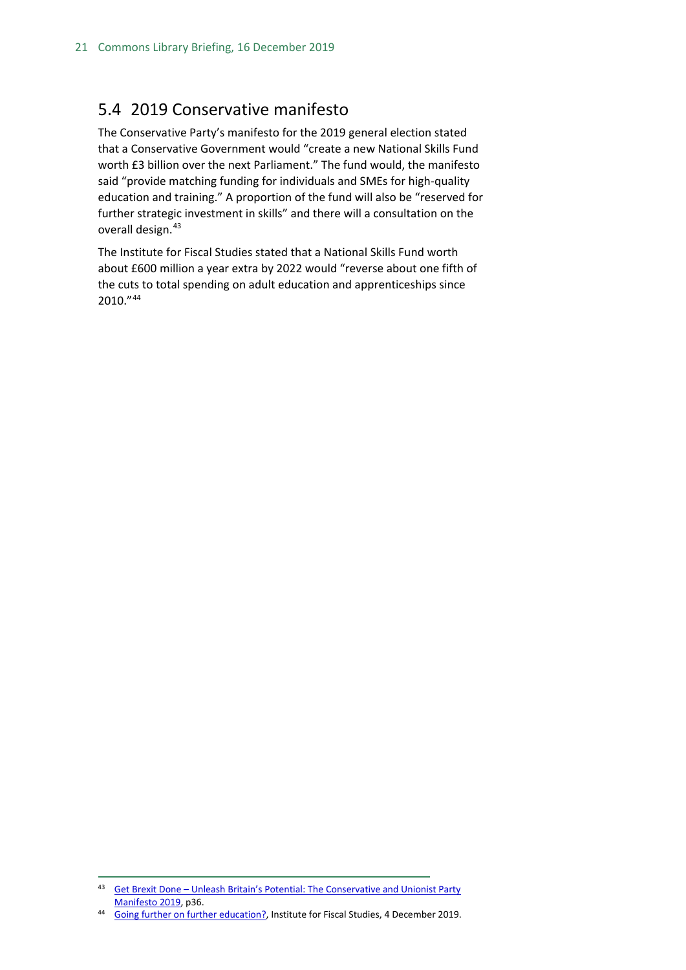### <span id="page-20-0"></span>5.4 2019 Conservative manifesto

The Conservative Party's manifesto for the 2019 general election stated that a Conservative Government would "create a new National Skills Fund worth £3 billion over the next Parliament." The fund would, the manifesto said "provide matching funding for individuals and SMEs for high-quality education and training." A proportion of the fund will also be "reserved for further strategic investment in skills" and there will a consultation on the overall design.<sup>[43](#page-20-1)</sup>

The Institute for Fiscal Studies stated that a National Skills Fund worth about £600 million a year extra by 2022 would "reverse about one fifth of the cuts to total spending on adult education and apprenticeships since 2010."[44](#page-20-2)

<span id="page-20-1"></span><sup>43</sup> Get Brexit Done – Unleash Britain's Potential: The Conservative and Unionist Party [Manifesto 2019,](https://assets-global.website-files.com/5da42e2cae7ebd3f8bde353c/5dda924905da587992a064ba_Conservative%202019%20Manifesto.pdf) p36.

<span id="page-20-2"></span><sup>44</sup> [Going further on further education?,](https://www.ifs.org.uk/publications/14625?utm_source=R%26I+%28business+communications%29&utm_campaign=0cd22d2a84-EMAIL_CAMPAIGN_2019_10_01_02_11_COPY_06&utm_medium=email&utm_term=0_4957411bec-0cd22d2a84-102480193&mc_cid=0cd22d2a84&mc_eid=799d91902d) Institute for Fiscal Studies, 4 December 2019.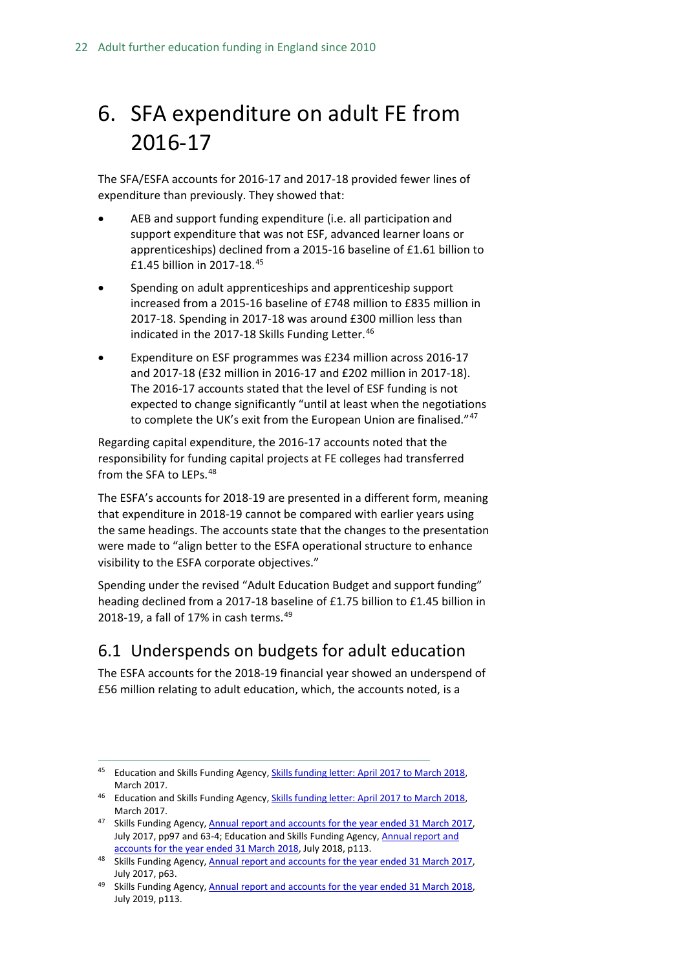## <span id="page-21-0"></span>6. SFA expenditure on adult FE from 2016-17

The SFA/ESFA accounts for 2016-17 and 2017-18 provided fewer lines of expenditure than previously. They showed that:

- AEB and support funding expenditure (i.e. all participation and support expenditure that was not ESF, advanced learner loans or apprenticeships) declined from a 2015-16 baseline of £1.61 billion to £1.45 billion in 2017-18.[45](#page-21-2)
- Spending on adult apprenticeships and apprenticeship support increased from a 2015-16 baseline of £748 million to £835 million in 2017-18. Spending in 2017-18 was around £300 million less than indicated in the 2017-18 Skills Funding Letter.<sup>[46](#page-21-3)</sup>
- Expenditure on ESF programmes was £234 million across 2016-17 and 2017-18 (£32 million in 2016-17 and £202 million in 2017-18). The 2016-17 accounts stated that the level of ESF funding is not expected to change significantly "until at least when the negotiations to complete the UK's exit from the European Union are finalised."<sup>[47](#page-21-4)</sup>

Regarding capital expenditure, the 2016-17 accounts noted that the responsibility for funding capital projects at FE colleges had transferred from the SFA to LEPs.<sup>[48](#page-21-5)</sup>

The ESFA's accounts for 2018-19 are presented in a different form, meaning that expenditure in 2018-19 cannot be compared with earlier years using the same headings. The accounts state that the changes to the presentation were made to "align better to the ESFA operational structure to enhance visibility to the ESFA corporate objectives."

Spending under the revised "Adult Education Budget and support funding" heading declined from a 2017-18 baseline of £1.75 billion to £1.45 billion in 2018-19, a fall of 17% in cash terms. $49$ 

### <span id="page-21-1"></span>6.1 Underspends on budgets for adult education

The ESFA accounts for the 2018-19 financial year showed an underspend of £56 million relating to adult education, which, the accounts noted, is a

<span id="page-21-2"></span><sup>&</sup>lt;sup>45</sup> Education and Skills Funding Agency, **Skills funding letter: April 2017 to March 2018**, March 2017.

<span id="page-21-3"></span><sup>&</sup>lt;sup>46</sup> Education and Skills Funding Agency, **Skills funding letter: April 2017 to March 2018**, March 2017.

<span id="page-21-4"></span><sup>47</sup> Skills Funding Agency, Annual report and accounts for the year ended 31 March 2017, July 2017, pp97 and 63-4; Education and Skills Funding Agency, Annual report and [accounts for the year ended 31 March 2018,](https://assets.publishing.service.gov.uk/government/uploads/system/uploads/attachment_data/file/727360/ESFA_ARA_2017-18_PRINT.pdf) July 2018, p113.

<span id="page-21-5"></span><sup>48</sup> Skills Funding Agency, Annual report and accounts for the year ended 31 March 2017, July 2017, p63.

<span id="page-21-6"></span><sup>49</sup> Skills Funding Agency, Annual report and accounts for the year ended 31 March 2018, July 2019, p113.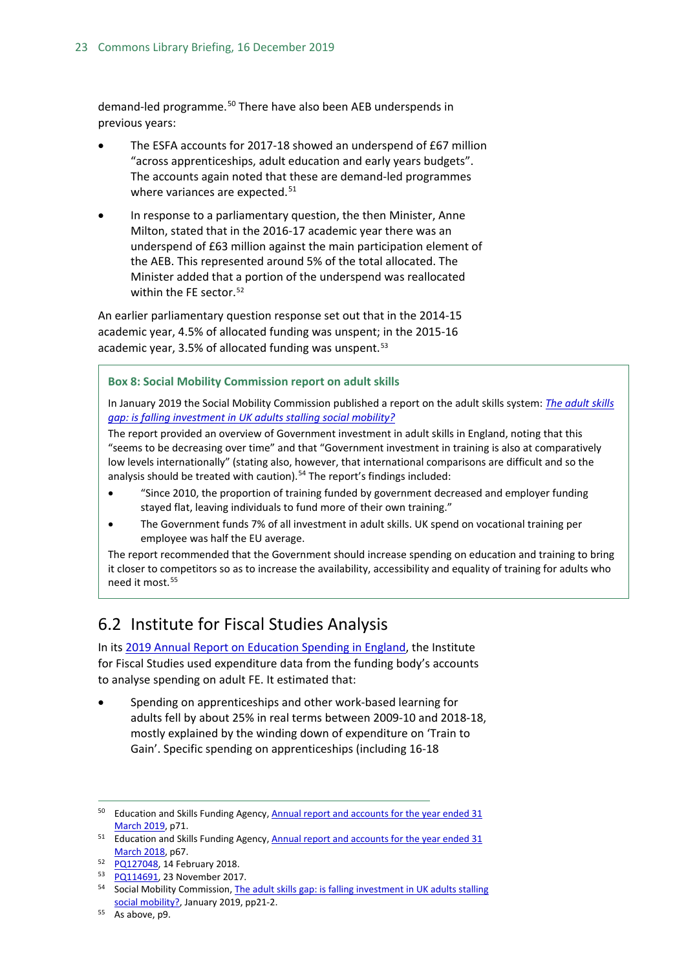demand-led programme.<sup>[50](#page-22-1)</sup> There have also been AEB underspends in previous years:

- The ESFA accounts for 2017-18 showed an underspend of £67 million "across apprenticeships, adult education and early years budgets". The accounts again noted that these are demand-led programmes where variances are expected.<sup>[51](#page-22-2)</sup>
- In response to a parliamentary question, the then Minister, Anne Milton, stated that in the 2016-17 academic year there was an underspend of £63 million against the main participation element of the AEB. This represented around 5% of the total allocated. The Minister added that a portion of the underspend was reallocated within the FE sector.<sup>[52](#page-22-3)</sup>

An earlier parliamentary question response set out that in the 2014-15 academic year, 4.5% of allocated funding was unspent; in the 2015-16 academic year, 3.5% of allocated funding was unspent.<sup>[53](#page-22-4)</sup>

**Box 8: Social Mobility Commission report on adult skills**

In January 2019 the Social Mobility Commission published a report on the adult skills system: *[The adult skills](https://feweek.co.uk/wp-content/uploads/2019/01/Social-Mobility-Commission-adult-skills-report.pdf)  [gap: is falling investment in UK adults stalling social mobility?](https://feweek.co.uk/wp-content/uploads/2019/01/Social-Mobility-Commission-adult-skills-report.pdf)*

The report provided an overview of Government investment in adult skills in England, noting that this "seems to be decreasing over time" and that "Government investment in training is also at comparatively low levels internationally" (stating also, however, that international comparisons are difficult and so the analysis should be treated with caution).<sup>[54](#page-22-5)</sup> The report's findings included:

- "Since 2010, the proportion of training funded by government decreased and employer funding stayed flat, leaving individuals to fund more of their own training."
- The Government funds 7% of all investment in adult skills. UK spend on vocational training per employee was half the EU average.

The report recommended that the Government should increase spending on education and training to bring it closer to competitors so as to increase the availability, accessibility and equality of training for adults who need it most.<sup>[55](#page-22-6)</sup>

### <span id="page-22-0"></span>6.2 Institute for Fiscal Studies Analysis

In its [2019 Annual Report on Education Spending in England,](https://www.ifs.org.uk/uploads/R162-Education-spending-in-England-2019.pdf) the Institute for Fiscal Studies used expenditure data from the funding body's accounts to analyse spending on adult FE. It estimated that:

• Spending on apprenticeships and other work-based learning for adults fell by about 25% in real terms between 2009-10 and 2018-18, mostly explained by the winding down of expenditure on 'Train to Gain'. Specific spending on apprenticeships (including 16-18

<span id="page-22-2"></span><sup>51</sup> Education and Skills Funding Agency, Annual report and accounts for the year ended 31 [March 2018,](https://assets.publishing.service.gov.uk/government/uploads/system/uploads/attachment_data/file/727360/ESFA_ARA_2017-18_PRINT.pdf) p67.

<span id="page-22-1"></span><sup>&</sup>lt;sup>50</sup> Education and Skills Funding Agency, [Annual report and accounts for the year ended 31](https://assets.publishing.service.gov.uk/government/uploads/system/uploads/attachment_data/file/819926/P3297_ESFA_Annual_Report_FINAL_Web_single_pages.pdf) [March 2019,](https://assets.publishing.service.gov.uk/government/uploads/system/uploads/attachment_data/file/819926/P3297_ESFA_Annual_Report_FINAL_Web_single_pages.pdf) p71.

<span id="page-22-3"></span><sup>52</sup> [PQ127048,](http://www.parliament.uk/written-questions-answers-statements/written-question/commons/2018-02-06/127048) 14 February 2018.

<span id="page-22-4"></span><sup>53</sup> [PQ114691,](http://www.parliament.uk/written-questions-answers-statements/written-question/commons/2017-11-20/114691) 23 November 2017.

<span id="page-22-5"></span><sup>&</sup>lt;sup>54</sup> Social Mobility Commission, The adult skills gap: is falling investment in UK adults stalling [social mobility?,](https://feweek.co.uk/wp-content/uploads/2019/01/Social-Mobility-Commission-adult-skills-report.pdf) January 2019, pp21-2.

<span id="page-22-6"></span><sup>55</sup> As above, p9.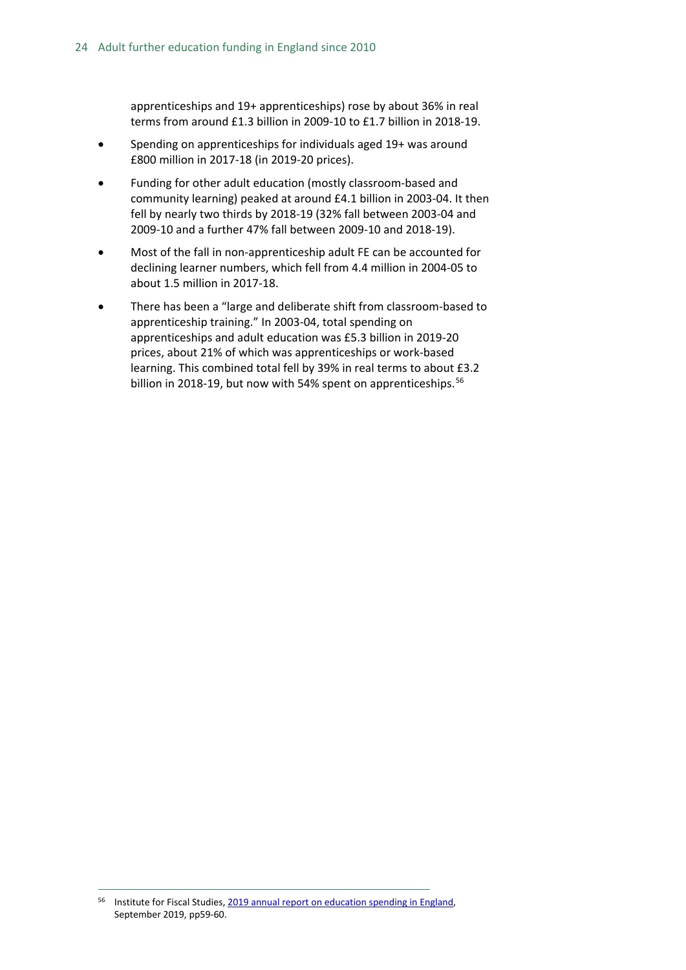apprenticeships and 19+ apprenticeships) rose by about 36% in real terms from around £1.3 billion in 2009-10 to £1.7 billion in 2018-19.

- Spending on apprenticeships for individuals aged 19+ was around £800 million in 2017-18 (in 2019-20 prices).
- Funding for other adult education (mostly classroom-based and community learning) peaked at around £4.1 billion in 2003-04. It then fell by nearly two thirds by 2018-19 (32% fall between 2003-04 and 2009-10 and a further 47% fall between 2009-10 and 2018-19).
- Most of the fall in non-apprenticeship adult FE can be accounted for declining learner numbers, which fell from 4.4 million in 2004-05 to about 1.5 million in 2017-18.
- There has been a "large and deliberate shift from classroom-based to apprenticeship training." In 2003-04, total spending on apprenticeships and adult education was £5.3 billion in 2019-20 prices, about 21% of which was apprenticeships or work-based learning. This combined total fell by 39% in real terms to about £3.2 billion in 2018-19, but now with 54% spent on apprenticeships.<sup>[56](#page-23-0)</sup>

<span id="page-23-0"></span> <sup>56</sup> Institute for Fiscal Studies[, 2019 annual report on education spending in England,](https://www.ifs.org.uk/uploads/R162-Education-spending-in-England-2019.pdf)  September 2019, pp59-60.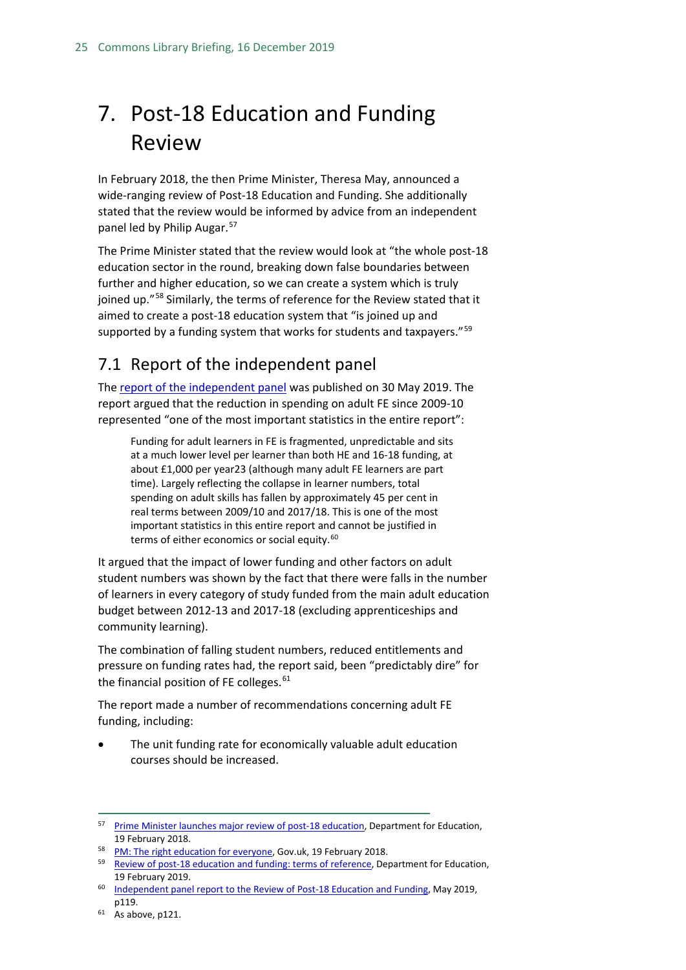## <span id="page-24-0"></span>7. Post-18 Education and Funding Review

In February 2018, the then Prime Minister, Theresa May, announced a wide-ranging review of Post-18 Education and Funding. She additionally stated that the review would be informed by advice from an independent panel led by Philip Augar.<sup>[57](#page-24-2)</sup>

The Prime Minister stated that the review would look at "the whole post-18 education sector in the round, breaking down false boundaries between further and higher education, so we can create a system which is truly joined up."[58](#page-24-3) Similarly, the terms of reference for the Review stated that it aimed to create a post-18 education system that "is joined up and supported by a funding system that works for students and taxpayers."<sup>[59](#page-24-4)</sup>

### <span id="page-24-1"></span>7.1 Report of the independent panel

The [report of the independent panel](https://assets.publishing.service.gov.uk/government/uploads/system/uploads/attachment_data/file/805127/Review_of_post_18_education_and_funding.pdf) was published on 30 May 2019. The report argued that the reduction in spending on adult FE since 2009-10 represented "one of the most important statistics in the entire report":

Funding for adult learners in FE is fragmented, unpredictable and sits at a much lower level per learner than both HE and 16-18 funding, at about £1,000 per year23 (although many adult FE learners are part time). Largely reflecting the collapse in learner numbers, total spending on adult skills has fallen by approximately 45 per cent in real terms between 2009/10 and 2017/18. This is one of the most important statistics in this entire report and cannot be justified in terms of either economics or social equity.<sup>[60](#page-24-5)</sup>

It argued that the impact of lower funding and other factors on adult student numbers was shown by the fact that there were falls in the number of learners in every category of study funded from the main adult education budget between 2012-13 and 2017-18 (excluding apprenticeships and community learning).

The combination of falling student numbers, reduced entitlements and pressure on funding rates had, the report said, been "predictably dire" for the financial position of FE colleges. $61$ 

The report made a number of recommendations concerning adult FE funding, including:

The unit funding rate for economically valuable adult education courses should be increased.

<span id="page-24-2"></span><sup>&</sup>lt;sup>57</sup> [Prime Minister launches major review of post-18 education,](https://www.gov.uk/government/news/prime-minister-launches-major-review-of-post-18-education) Department for Education, 19 February 2018.

<span id="page-24-3"></span><sup>58</sup> [PM: The right education for everyone,](https://www.gov.uk/government/speeches/pm-the-right-education-for-everyone) Gov.uk, 19 February 2018.

<span id="page-24-4"></span><sup>&</sup>lt;sup>59</sup> [Review of post-18 education and funding: terms of reference,](https://www.gov.uk/government/publications/review-of-post-18-education-and-funding-terms-of-reference) Department for Education, 19 February 2019.

<span id="page-24-5"></span><sup>60</sup> [Independent panel report to the Review of Post-18 Education and Funding,](https://assets.publishing.service.gov.uk/government/uploads/system/uploads/attachment_data/file/805127/Review_of_post_18_education_and_funding.pdf) May 2019, p119.

<span id="page-24-6"></span> $61$  As above, p121.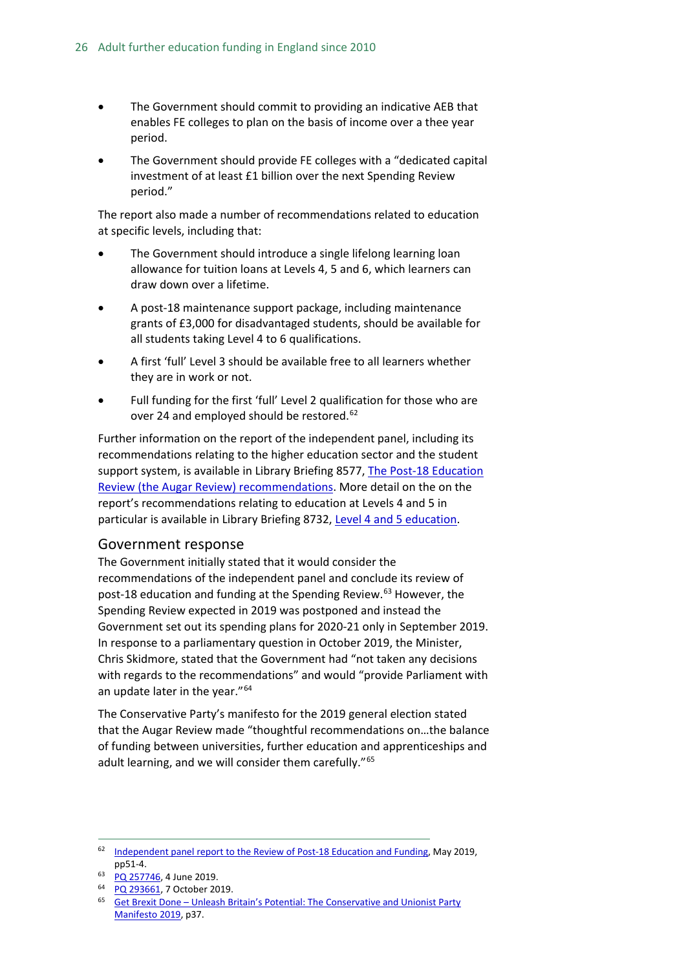- The Government should commit to providing an indicative AEB that enables FE colleges to plan on the basis of income over a thee year period.
- The Government should provide FE colleges with a "dedicated capital investment of at least £1 billion over the next Spending Review period."

The report also made a number of recommendations related to education at specific levels, including that:

- The Government should introduce a single lifelong learning loan allowance for tuition loans at Levels 4, 5 and 6, which learners can draw down over a lifetime.
- A post-18 maintenance support package, including maintenance grants of £3,000 for disadvantaged students, should be available for all students taking Level 4 to 6 qualifications.
- A first 'full' Level 3 should be available free to all learners whether they are in work or not.
- Full funding for the first 'full' Level 2 qualification for those who are over 24 and employed should be restored.<sup>[62](#page-25-1)</sup>

Further information on the report of the independent panel, including its recommendations relating to the higher education sector and the student support system, is available in Library Briefing 8577, [The Post-18 Education](https://researchbriefings.parliament.uk/ResearchBriefing/Summary/CBP-8577#fullreport)  [Review \(the Augar Review\) recommendations.](https://researchbriefings.parliament.uk/ResearchBriefing/Summary/CBP-8577#fullreport) More detail on the on the report's recommendations relating to education at Levels 4 and 5 in particular is available in Library Briefing 8732, [Level 4 and 5 education.](https://researchbriefings.parliament.uk/ResearchBriefing/Summary/CBP-8732#fullreport)

#### <span id="page-25-0"></span>Government response

The Government initially stated that it would consider the recommendations of the independent panel and conclude its review of post-18 education and funding at the Spending Review.<sup>[63](#page-25-2)</sup> However, the Spending Review expected in 2019 was postponed and instead the Government set out its spending plans for 2020-21 only in September 2019. In response to a parliamentary question in October 2019, the Minister, Chris Skidmore, stated that the Government had "not taken any decisions with regards to the recommendations" and would "provide Parliament with an update later in the year."<sup>[64](#page-25-3)</sup>

The Conservative Party's manifesto for the 2019 general election stated that the Augar Review made "thoughtful recommendations on…the balance of funding between universities, further education and apprenticeships and adult learning, and we will consider them carefully."<sup>[65](#page-25-4)</sup>

<span id="page-25-1"></span><sup>&</sup>lt;sup>62</sup> [Independent panel report to the Review of Post-18 Education and Funding,](https://assets.publishing.service.gov.uk/government/uploads/system/uploads/attachment_data/file/805127/Review_of_post_18_education_and_funding.pdf) May 2019, pp51-4.

<span id="page-25-3"></span><span id="page-25-2"></span><sup>63</sup> [PQ 257746,](https://www.parliament.uk/written-questions-answers-statements/written-question/commons/2019-05-23/257746) 4 June 2019.

<sup>64</sup> [PQ 293661,](https://www.parliament.uk/written-questions-answers-statements/written-question/commons/2019-10-02/293661) 7 October 2019.

<span id="page-25-4"></span><sup>65</sup> Get Brexit Done – [Unleash Britain's Potential: The Conservative and Unionist Party](https://assets-global.website-files.com/5da42e2cae7ebd3f8bde353c/5dda924905da587992a064ba_Conservative%202019%20Manifesto.pdf)  [Manifesto 2019,](https://assets-global.website-files.com/5da42e2cae7ebd3f8bde353c/5dda924905da587992a064ba_Conservative%202019%20Manifesto.pdf) p37.